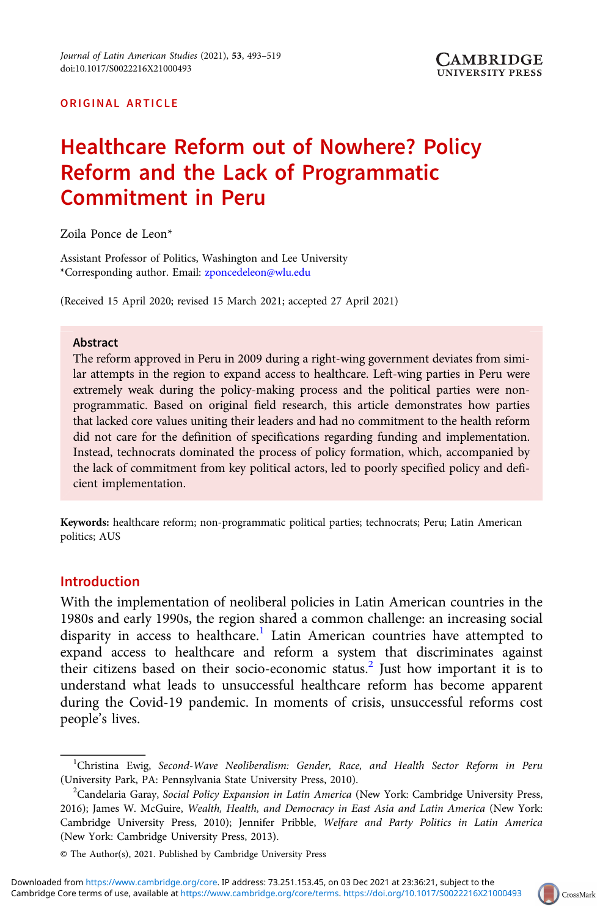## ORIGINAL ARTICLE

# Healthcare Reform out of Nowhere? Policy Reform and the Lack of Programmatic Commitment in Peru

Zoila Ponce de Leon\*

Assistant Professor of Politics, Washington and Lee University \*Corresponding author. Email: [zponcedeleon@wlu.edu](mailto:zponcedeleon@wlu.edu)

(Received 15 April 2020; revised 15 March 2021; accepted 27 April 2021)

#### Abstract

The reform approved in Peru in 2009 during a right-wing government deviates from similar attempts in the region to expand access to healthcare. Left-wing parties in Peru were extremely weak during the policy-making process and the political parties were nonprogrammatic. Based on original field research, this article demonstrates how parties that lacked core values uniting their leaders and had no commitment to the health reform did not care for the definition of specifications regarding funding and implementation. Instead, technocrats dominated the process of policy formation, which, accompanied by the lack of commitment from key political actors, led to poorly specified policy and deficient implementation.

Keywords: healthcare reform; non-programmatic political parties; technocrats; Peru; Latin American politics; AUS

## Introduction

With the implementation of neoliberal policies in Latin American countries in the 1980s and early 1990s, the region shared a common challenge: an increasing social disparity in access to healthcare.<sup>1</sup> Latin American countries have attempted to expand access to healthcare and reform a system that discriminates against their citizens based on their socio-economic status.<sup>2</sup> Just how important it is to understand what leads to unsuccessful healthcare reform has become apparent during the Covid-19 pandemic. In moments of crisis, unsuccessful reforms cost people's lives.



<sup>&</sup>lt;sup>1</sup>Christina Ewig, Second-Wave Neoliberalism: Gender, Race, and Health Sector Reform in Peru (University Park, PA: Pennsylvania State University Press, 2010). <sup>2</sup>

<sup>&</sup>lt;sup>2</sup>Candelaria Garay, Social Policy Expansion in Latin America (New York: Cambridge University Press, 2016); James W. McGuire, Wealth, Health, and Democracy in East Asia and Latin America (New York: Cambridge University Press, 2010); Jennifer Pribble, Welfare and Party Politics in Latin America (New York: Cambridge University Press, 2013).

<sup>©</sup> The Author(s), 2021. Published by Cambridge University Press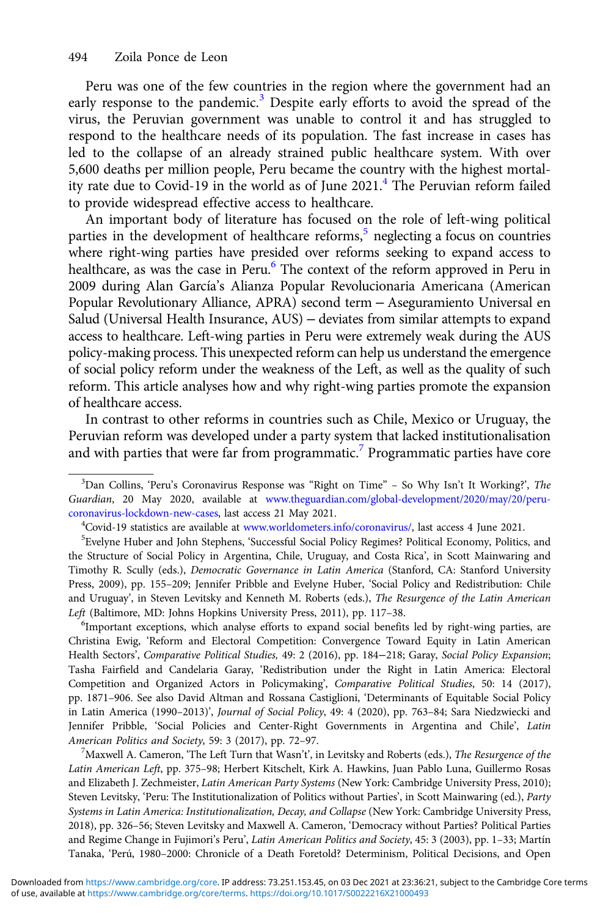Peru was one of the few countries in the region where the government had an early response to the pandemic.<sup>3</sup> Despite early efforts to avoid the spread of the virus, the Peruvian government was unable to control it and has struggled to respond to the healthcare needs of its population. The fast increase in cases has led to the collapse of an already strained public healthcare system. With over 5,600 deaths per million people, Peru became the country with the highest mortality rate due to Covid-19 in the world as of June 2021.<sup>4</sup> The Peruvian reform failed to provide widespread effective access to healthcare.

An important body of literature has focused on the role of left-wing political parties in the development of healthcare reforms,<sup>5</sup> neglecting a focus on countries where right-wing parties have presided over reforms seeking to expand access to healthcare, as was the case in Peru.<sup>6</sup> The context of the reform approved in Peru in 2009 during Alan García's Alianza Popular Revolucionaria Americana (American Popular Revolutionary Alliance, APRA) second term − Aseguramiento Universal en Salud (Universal Health Insurance, AUS) – deviates from similar attempts to expand access to healthcare. Left-wing parties in Peru were extremely weak during the AUS policy-making process. This unexpected reform can help us understand the emergence of social policy reform under the weakness of the Left, as well as the quality of such reform. This article analyses how and why right-wing parties promote the expansion of healthcare access.

In contrast to other reforms in countries such as Chile, Mexico or Uruguay, the Peruvian reform was developed under a party system that lacked institutionalisation and with parties that were far from programmatic.<sup>7</sup> Programmatic parties have core

<sup>6</sup>Important exceptions, which analyse efforts to expand social benefits led by right-wing parties, are Christina Ewig, 'Reform and Electoral Competition: Convergence Toward Equity in Latin American Health Sectors', Comparative Political Studies, 49: 2 (2016), pp. 184−218; Garay, Social Policy Expansion; Tasha Fairfield and Candelaria Garay, 'Redistribution under the Right in Latin America: Electoral Competition and Organized Actors in Policymaking', Comparative Political Studies, 50: 14 (2017), pp. 1871–906. See also David Altman and Rossana Castiglioni, 'Determinants of Equitable Social Policy in Latin America (1990–2013)', Journal of Social Policy, 49: 4 (2020), pp. 763–84; Sara Niedzwiecki and Jennifer Pribble, 'Social Policies and Center-Right Governments in Argentina and Chile', Latin American Politics and Society, 59: 3 (2017), pp. 72-97.

<sup>7</sup> Maxwell A. Cameron, 'The Left Turn that Wasn't', in Levitsky and Roberts (eds.), The Resurgence of the Latin American Left, pp. 375–98; Herbert Kitschelt, Kirk A. Hawkins, Juan Pablo Luna, Guillermo Rosas and Elizabeth J. Zechmeister, Latin American Party Systems (New York: Cambridge University Press, 2010); Steven Levitsky, 'Peru: The Institutionalization of Politics without Parties', in Scott Mainwaring (ed.), Party Systems in Latin America: Institutionalization, Decay, and Collapse (New York: Cambridge University Press, 2018), pp. 326–56; Steven Levitsky and Maxwell A. Cameron, 'Democracy without Parties? Political Parties and Regime Change in Fujimori's Peru', Latin American Politics and Society, 45: 3 (2003), pp. 1–33; Martín Tanaka, 'Perú, 1980–2000: Chronicle of a Death Foretold? Determinism, Political Decisions, and Open

<sup>&</sup>lt;sup>3</sup>Dan Collins, 'Peru's Coronavirus Response was "Right on Time" - So Why Isn't It Working?', The Guardian, 20 May 2020, available at [www.theguardian.com/global-development/2020/may/20/peru](https://www.theguardian.com/global-development/2020/may/20/peru-coronavirus-lockdown-new-cases)[coronavirus-lockdown-new-cases,](https://www.theguardian.com/global-development/2020/may/20/peru-coronavirus-lockdown-new-cases) last access 21 May 2021. <sup>4</sup>

<sup>&</sup>lt;sup>4</sup>Covid-19 statistics are available at [www.worldometers.info/coronavirus/](https://www.worldometers.info/coronavirus/), last access 4 June 2021.

<sup>&</sup>lt;sup>5</sup>Evelyne Huber and John Stephens, 'Successful Social Policy Regimes? Political Economy, Politics, and the Structure of Social Policy in Argentina, Chile, Uruguay, and Costa Rica', in Scott Mainwaring and Timothy R. Scully (eds.), Democratic Governance in Latin America (Stanford, CA: Stanford University Press, 2009), pp. 155–209; Jennifer Pribble and Evelyne Huber, 'Social Policy and Redistribution: Chile and Uruguay', in Steven Levitsky and Kenneth M. Roberts (eds.), The Resurgence of the Latin American Left (Baltimore, MD: Johns Hopkins University Press, 2011), pp. 117-38.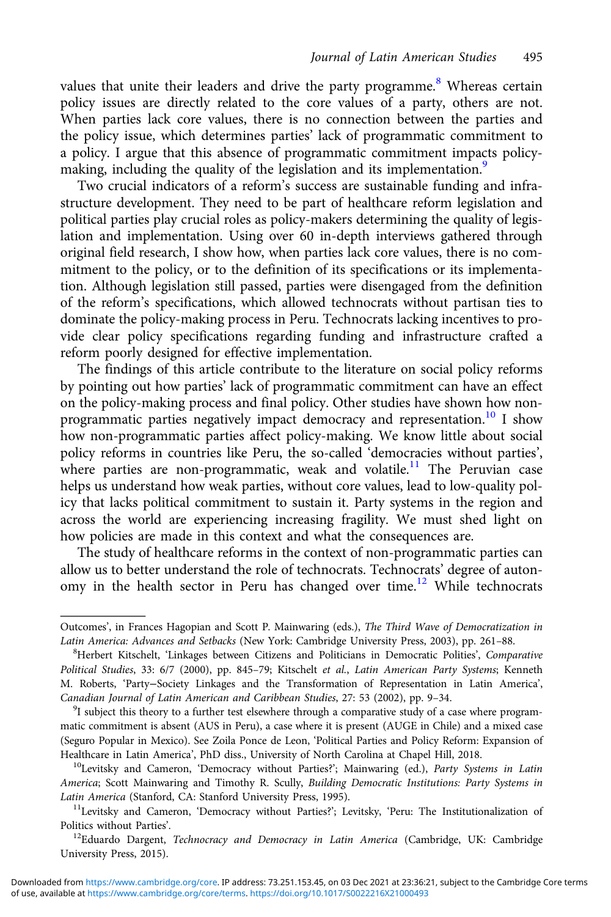values that unite their leaders and drive the party programme.<sup>8</sup> Whereas certain policy issues are directly related to the core values of a party, others are not. When parties lack core values, there is no connection between the parties and the policy issue, which determines parties' lack of programmatic commitment to a policy. I argue that this absence of programmatic commitment impacts policymaking, including the quality of the legislation and its implementation.<sup>9</sup>

Two crucial indicators of a reform's success are sustainable funding and infrastructure development. They need to be part of healthcare reform legislation and political parties play crucial roles as policy-makers determining the quality of legislation and implementation. Using over 60 in-depth interviews gathered through original field research, I show how, when parties lack core values, there is no commitment to the policy, or to the definition of its specifications or its implementation. Although legislation still passed, parties were disengaged from the definition of the reform's specifications, which allowed technocrats without partisan ties to dominate the policy-making process in Peru. Technocrats lacking incentives to provide clear policy specifications regarding funding and infrastructure crafted a reform poorly designed for effective implementation.

The findings of this article contribute to the literature on social policy reforms by pointing out how parties' lack of programmatic commitment can have an effect on the policy-making process and final policy. Other studies have shown how nonprogrammatic parties negatively impact democracy and representation.<sup>10</sup> I show how non-programmatic parties affect policy-making. We know little about social policy reforms in countries like Peru, the so-called 'democracies without parties', where parties are non-programmatic, weak and volatile.<sup>11</sup> The Peruvian case helps us understand how weak parties, without core values, lead to low-quality policy that lacks political commitment to sustain it. Party systems in the region and across the world are experiencing increasing fragility. We must shed light on how policies are made in this context and what the consequences are.

The study of healthcare reforms in the context of non-programmatic parties can allow us to better understand the role of technocrats. Technocrats' degree of autonomy in the health sector in Peru has changed over time.<sup>12</sup> While technocrats

Outcomes', in Frances Hagopian and Scott P. Mainwaring (eds.), The Third Wave of Democratization in Latin America: Advances and Setbacks (New York: Cambridge University Press, 2003), pp. 261-88.

<sup>&</sup>lt;sup>8</sup>Herbert Kitschelt, 'Linkages between Citizens and Politicians in Democratic Polities', Comparative Political Studies, 33: 6/7 (2000), pp. 845–79; Kitschelt et al., Latin American Party Systems; Kenneth M. Roberts, 'Party−Society Linkages and the Transformation of Representation in Latin America', Canadian Journal of Latin American and Caribbean Studies, 27: 53 (2002), pp. 9-34.

<sup>&</sup>lt;sup>9</sup>I subject this theory to a further test elsewhere through a comparative study of a case where programmatic commitment is absent (AUS in Peru), a case where it is present (AUGE in Chile) and a mixed case (Seguro Popular in Mexico). See Zoila Ponce de Leon, 'Political Parties and Policy Reform: Expansion of Healthcare in Latin America', PhD diss., University of North Carolina at Chapel Hill, 2018.<br><sup>10</sup>Levitsky and Cameron, 'Democracy without Parties?'; Mainwaring (ed.), *Party Systems in Latin* 

America; Scott Mainwaring and Timothy R. Scully, Building Democratic Institutions: Party Systems in Latin America (Stanford, CA: Stanford University Press, 1995).<br><sup>11</sup>Levitsky and Cameron, 'Democracy without Parties?'; Levitsky, 'Peru: The Institutionalization of

Politics without Parties'.<br><sup>12</sup>Eduardo Dargent, *Technocracy and Democracy in Latin America* (Cambridge, UK: Cambridge

University Press, 2015).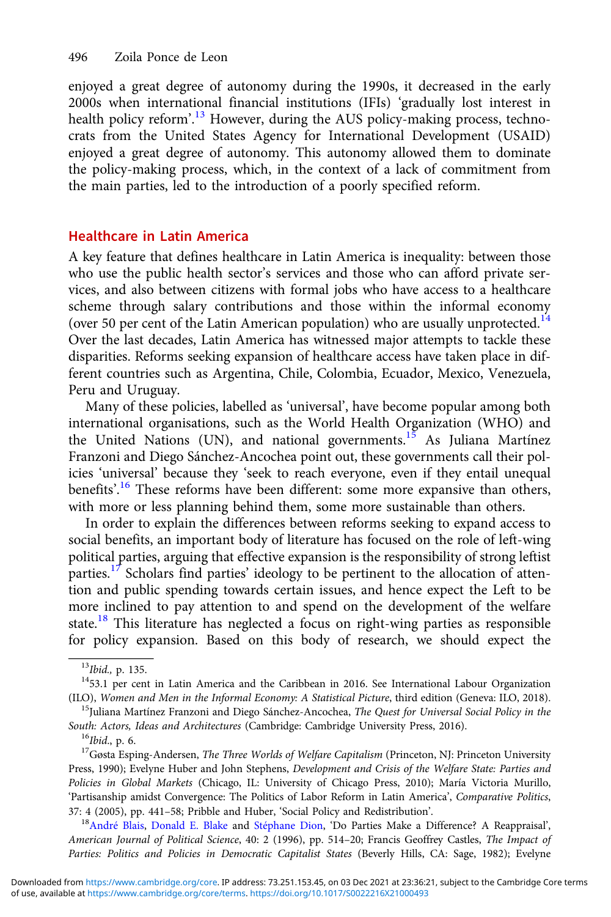enjoyed a great degree of autonomy during the 1990s, it decreased in the early 2000s when international financial institutions (IFIs) 'gradually lost interest in health policy reform'.<sup>13</sup> However, during the AUS policy-making process, technocrats from the United States Agency for International Development (USAID) enjoyed a great degree of autonomy. This autonomy allowed them to dominate the policy-making process, which, in the context of a lack of commitment from the main parties, led to the introduction of a poorly specified reform.

## Healthcare in Latin America

A key feature that defines healthcare in Latin America is inequality: between those who use the public health sector's services and those who can afford private services, and also between citizens with formal jobs who have access to a healthcare scheme through salary contributions and those within the informal economy (over 50 per cent of the Latin American population) who are usually unprotected.<sup>14</sup> Over the last decades, Latin America has witnessed major attempts to tackle these disparities. Reforms seeking expansion of healthcare access have taken place in different countries such as Argentina, Chile, Colombia, Ecuador, Mexico, Venezuela, Peru and Uruguay.

Many of these policies, labelled as 'universal', have become popular among both international organisations, such as the World Health Organization (WHO) and the United Nations (UN), and national governments.<sup>15</sup> As Juliana Martínez Franzoni and Diego Sánchez-Ancochea point out, these governments call their policies 'universal' because they 'seek to reach everyone, even if they entail unequal benefits'.<sup>16</sup> These reforms have been different: some more expansive than others, with more or less planning behind them, some more sustainable than others.

In order to explain the differences between reforms seeking to expand access to social benefits, an important body of literature has focused on the role of left-wing political parties, arguing that effective expansion is the responsibility of strong leftist parties.<sup>17</sup> Scholars find parties' ideology to be pertinent to the allocation of attention and public spending towards certain issues, and hence expect the Left to be more inclined to pay attention to and spend on the development of the welfare state.<sup>18</sup> This literature has neglected a focus on right-wing parties as responsible for policy expansion. Based on this body of research, we should expect the

American Journal of Political Science, 40: 2 (1996), pp. 514–20; Francis Geoffrey Castles, The Impact of Parties: Politics and Policies in Democratic Capitalist States (Beverly Hills, CA: Sage, 1982); Evelyne

<sup>&</sup>lt;sup>13</sup>Ibid., p. 135.<br><sup>14</sup>53.1 per cent in Latin America and the Caribbean in 2016. See International Labour Organization<br>(ILO), *Women and Men in the Informal Economy: A Statistical Picture*, third edition (Geneva: ILO, 201

<sup>&</sup>lt;sup>15</sup>Juliana Martínez Franzoni and Diego Sánchez-Ancochea, The Quest for Universal Social Policy in the

South: Actors, Ideas and Architectures (Cambridge: Cambridge University Press, 2016).<br><sup>16</sup>Ibid., p. 6. <sup>17</sup>Gøsta Esping-Andersen, *The Three Worlds of Welfare Capitalism* (Princeton, NJ: Princeton University Press, 1990); Evelyne Huber and John Stephens, Development and Crisis of the Welfare State: Parties and Policies in Global Markets (Chicago, IL: University of Chicago Press, 2010); María Victoria Murillo, 'Partisanship amidst Convergence: The Politics of Labor Reform in Latin America', Comparative Politics, 37: 4 (2005), pp. 441–58; Pribble and Huber, 'Social Policy and Redistribution'. 18[André Blais,](https://www.semanticscholar.org/author/Andr%C3%A9-Blais/2956439) [Donald E. Blake](https://www.semanticscholar.org/author/Donald-E.-Blake/94175000) and [Stéphane Dion,](https://www.semanticscholar.org/author/St%C3%A9phane-Dion/49110069) 'Do Parties Make a Difference? A Reappraisal',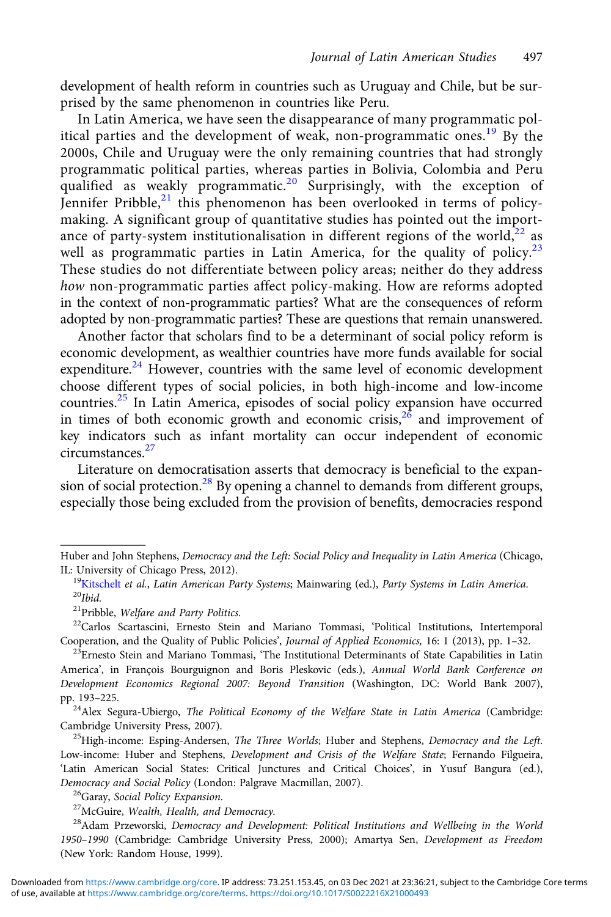development of health reform in countries such as Uruguay and Chile, but be surprised by the same phenomenon in countries like Peru.

In Latin America, we have seen the disappearance of many programmatic political parties and the development of weak, non-programmatic ones.<sup>19</sup> By the 2000s, Chile and Uruguay were the only remaining countries that had strongly programmatic political parties, whereas parties in Bolivia, Colombia and Peru qualified as weakly programmatic.<sup>20</sup> Surprisingly, with the exception of Jennifer Pribble, $^{21}$  this phenomenon has been overlooked in terms of policymaking. A significant group of quantitative studies has pointed out the importance of party-system institutionalisation in different regions of the world, $^{22}$  as well as programmatic parties in Latin America, for the quality of policy. $23$ These studies do not differentiate between policy areas; neither do they address how non-programmatic parties affect policy-making. How are reforms adopted in the context of non-programmatic parties? What are the consequences of reform adopted by non-programmatic parties? These are questions that remain unanswered.

Another factor that scholars find to be a determinant of social policy reform is economic development, as wealthier countries have more funds available for social expenditure.<sup>24</sup> However, countries with the same level of economic development choose different types of social policies, in both high-income and low-income countries.<sup>25</sup> In Latin America, episodes of social policy expansion have occurred in times of both economic growth and economic crisis, $26$  and improvement of key indicators such as infant mortality can occur independent of economic circumstances.<sup>27</sup>

Literature on democratisation asserts that democracy is beneficial to the expansion of social protection.<sup>28</sup> By opening a channel to demands from different groups, especially those being excluded from the provision of benefits, democracies respond

Low-income: Huber and Stephens, Development and Crisis of the Welfare State; Fernando Filgueira, 'Latin American Social States: Critical Junctures and Critical Choices', in Yusuf Bangura (ed.), Democracy and Social Policy (London: Palgrave Macmillan, 2007).<br><sup>26</sup>Garay, Social Policy Expansion.<br><sup>27</sup>McGuire, Wealth, Health, and Democracy.<br><sup>28</sup>Adam Przeworski, Democracy and Development: Political Institutions and Wel

Huber and John Stephens, Democracy and the Left: Social Policy and Inequality in Latin America (Chicago, IL: University of Chicago Press, 2012).

<sup>&</sup>lt;sup>19</sup>Kitschelt *et al., Latin American Party Systems*; Mainwaring (ed.), *Party Systems in Latin America.* <sup>20</sup>*Ibid.* 2<sup>1</sup>Pribble, *Welfare and Party Politics.* 

<sup>&</sup>lt;sup>22</sup>Carlos Scartascini, Ernesto Stein and Mariano Tommasi, 'Political Institutions, Intertemporal Cooperation, and the Quality of Public Policies', *Journal of Applied Economics*, 16: 1 (2013), pp. 1-32.

 $^{23}$ Ernesto Stein and Mariano Tommasi, 'The Institutional Determinants of State Capabilities in Latin America', in François Bourguignon and Boris Pleskovic (eds.), Annual World Bank Conference on Development Economics Regional 2007: Beyond Transition (Washington, DC: World Bank 2007),

<sup>&</sup>lt;sup>24</sup> Alex Segura-Ubiergo, The Political Economy of the Welfare State in Latin America (Cambridge: Cambridge University Press, 2007).<br><sup>25</sup>High-income: Esping-Andersen, *The Three Worlds*; Huber and Stephens, *Democracy and the Left*.

<sup>1950</sup>–1990 (Cambridge: Cambridge University Press, 2000); Amartya Sen, Development as Freedom (New York: Random House, 1999).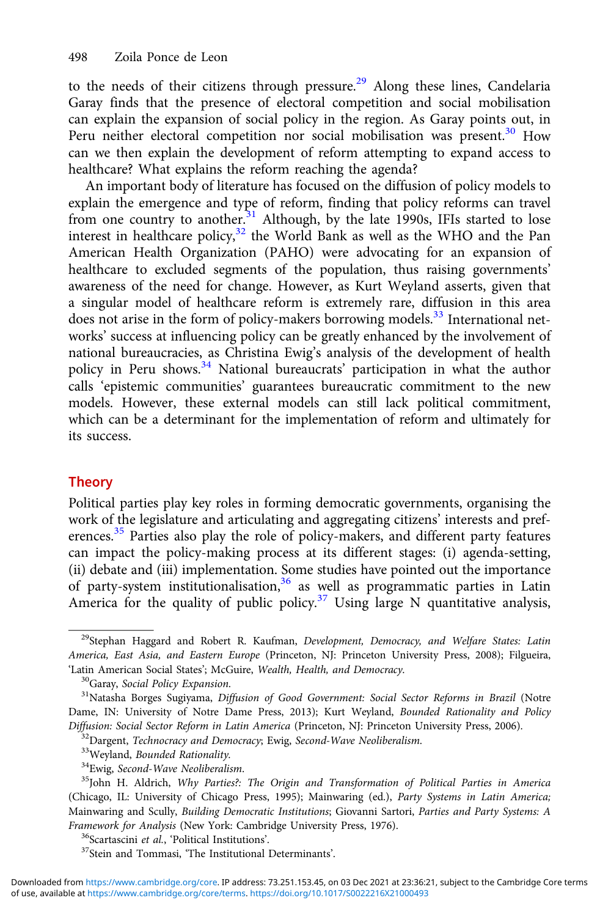to the needs of their citizens through pressure.<sup>29</sup> Along these lines, Candelaria Garay finds that the presence of electoral competition and social mobilisation can explain the expansion of social policy in the region. As Garay points out, in Peru neither electoral competition nor social mobilisation was present.<sup>30</sup> How can we then explain the development of reform attempting to expand access to healthcare? What explains the reform reaching the agenda?

An important body of literature has focused on the diffusion of policy models to explain the emergence and type of reform, finding that policy reforms can travel from one country to another.<sup>31</sup> Although, by the late 1990s, IFIs started to lose interest in healthcare policy, $32$  the World Bank as well as the WHO and the Pan American Health Organization (PAHO) were advocating for an expansion of healthcare to excluded segments of the population, thus raising governments' awareness of the need for change. However, as Kurt Weyland asserts, given that a singular model of healthcare reform is extremely rare, diffusion in this area does not arise in the form of policy-makers borrowing models.<sup>33</sup> International networks' success at influencing policy can be greatly enhanced by the involvement of national bureaucracies, as Christina Ewig's analysis of the development of health policy in Peru shows.<sup>34</sup> National bureaucrats' participation in what the author calls 'epistemic communities' guarantees bureaucratic commitment to the new models. However, these external models can still lack political commitment, which can be a determinant for the implementation of reform and ultimately for its success.

## **Theory**

Political parties play key roles in forming democratic governments, organising the work of the legislature and articulating and aggregating citizens' interests and preferences.<sup>35</sup> Parties also play the role of policy-makers, and different party features can impact the policy-making process at its different stages: (i) agenda-setting, (ii) debate and (iii) implementation. Some studies have pointed out the importance of party-system institutionalisation,36 as well as programmatic parties in Latin America for the quality of public policy.<sup>37</sup> Using large N quantitative analysis,

<sup>&</sup>lt;sup>29</sup>Stephan Haggard and Robert R. Kaufman, Development, Democracy, and Welfare States: Latin America, East Asia, and Eastern Europe (Princeton, NJ: Princeton University Press, 2008); Filgueira, 'Latin American Social States'; McGuire, Wealth, Health, and Democracy.<br><sup>30</sup>Garay, Social Policy Expansion.<br><sup>31</sup>Natasha Borges Sugiyama, *Diffusion of Good Government: Social Sector Reforms in Brazil* (Notre

Dame, IN: University of Notre Dame Press, 2013); Kurt Weyland, Bounded Rationality and Policy Diffusion: Social Sector Reform in Latin America (Princeton, NJ: Princeton University Press, 2006).<br><sup>32</sup>Dargent, *Technocracy and Democracy*; Ewig, *Second-Wave Neoliberalism*.<br><sup>33</sup>Weyland, *Bounded Rationality*.<br><sup>34</sup>Ewig,

<sup>(</sup>Chicago, IL: University of Chicago Press, 1995); Mainwaring (ed.), Party Systems in Latin America; Mainwaring and Scully, Building Democratic Institutions; Giovanni Sartori, Parties and Party Systems: A Framework for Analysis (New York: Cambridge University Press, 1976).<br><sup>36</sup>Scartascini et al., 'Political Institutions'.<br><sup>37</sup>Stein and Tommasi, 'The Institutional Determinants'.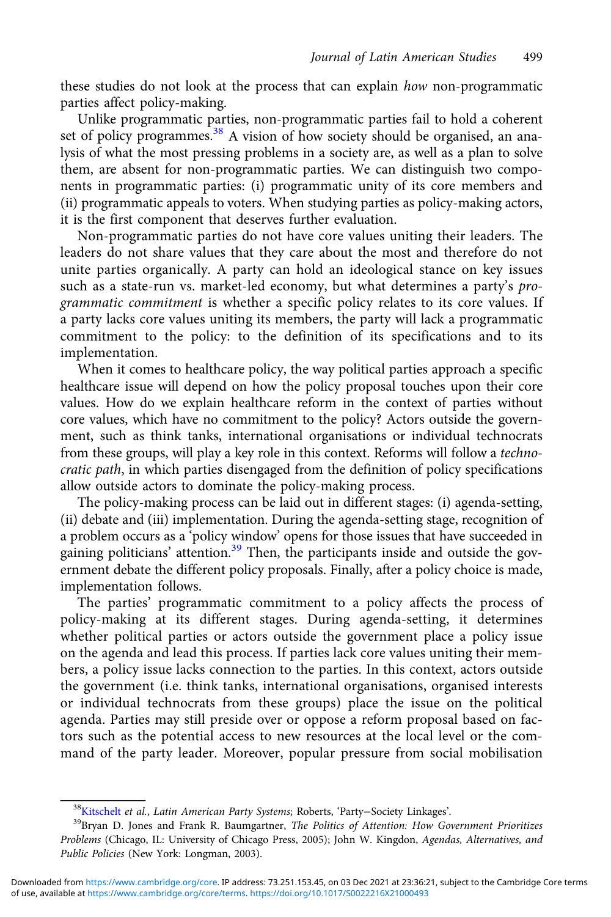these studies do not look at the process that can explain how non-programmatic parties affect policy-making.

Unlike programmatic parties, non-programmatic parties fail to hold a coherent set of policy programmes.<sup>38</sup> A vision of how society should be organised, an analysis of what the most pressing problems in a society are, as well as a plan to solve them, are absent for non-programmatic parties. We can distinguish two components in programmatic parties: (i) programmatic unity of its core members and (ii) programmatic appeals to voters. When studying parties as policy-making actors, it is the first component that deserves further evaluation.

Non-programmatic parties do not have core values uniting their leaders. The leaders do not share values that they care about the most and therefore do not unite parties organically. A party can hold an ideological stance on key issues such as a state-run vs. market-led economy, but what determines a party's programmatic commitment is whether a specific policy relates to its core values. If a party lacks core values uniting its members, the party will lack a programmatic commitment to the policy: to the definition of its specifications and to its implementation.

When it comes to healthcare policy, the way political parties approach a specific healthcare issue will depend on how the policy proposal touches upon their core values. How do we explain healthcare reform in the context of parties without core values, which have no commitment to the policy? Actors outside the government, such as think tanks, international organisations or individual technocrats from these groups, will play a key role in this context. Reforms will follow a technocratic path, in which parties disengaged from the definition of policy specifications allow outside actors to dominate the policy-making process.

The policy-making process can be laid out in different stages: (i) agenda-setting, (ii) debate and (iii) implementation. During the agenda-setting stage, recognition of a problem occurs as a 'policy window' opens for those issues that have succeeded in gaining politicians' attention.<sup>39</sup> Then, the participants inside and outside the government debate the different policy proposals. Finally, after a policy choice is made, implementation follows.

The parties' programmatic commitment to a policy affects the process of policy-making at its different stages. During agenda-setting, it determines whether political parties or actors outside the government place a policy issue on the agenda and lead this process. If parties lack core values uniting their members, a policy issue lacks connection to the parties. In this context, actors outside the government (i.e. think tanks, international organisations, organised interests or individual technocrats from these groups) place the issue on the political agenda. Parties may still preside over or oppose a reform proposal based on factors such as the potential access to new resources at the local level or the command of the party leader. Moreover, popular pressure from social mobilisation

<sup>&</sup>lt;sup>38</sup>Kitschelt *et al., Latin American Party Systems*; Roberts, 'Party–Society Linkages'.<br><sup>39</sup>Bryan D. Jones and Frank R. Baumgartner, *The Politics of Attention: How Government Prioritizes* Problems (Chicago, IL: University of Chicago Press, 2005); John W. Kingdon, Agendas, Alternatives, and Public Policies (New York: Longman, 2003).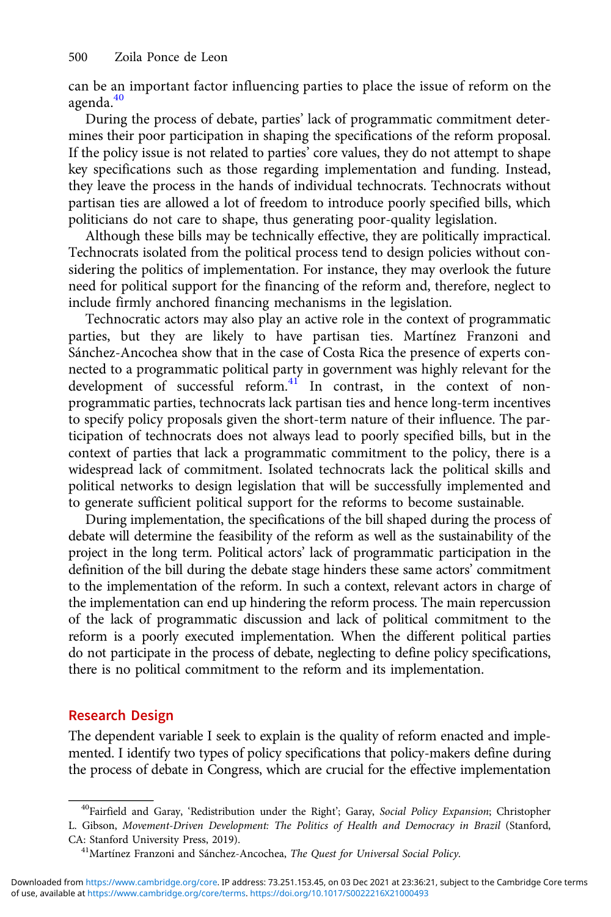can be an important factor influencing parties to place the issue of reform on the agenda.<sup>40</sup>

During the process of debate, parties' lack of programmatic commitment determines their poor participation in shaping the specifications of the reform proposal. If the policy issue is not related to parties' core values, they do not attempt to shape key specifications such as those regarding implementation and funding. Instead, they leave the process in the hands of individual technocrats. Technocrats without partisan ties are allowed a lot of freedom to introduce poorly specified bills, which politicians do not care to shape, thus generating poor-quality legislation.

Although these bills may be technically effective, they are politically impractical. Technocrats isolated from the political process tend to design policies without considering the politics of implementation. For instance, they may overlook the future need for political support for the financing of the reform and, therefore, neglect to include firmly anchored financing mechanisms in the legislation.

Technocratic actors may also play an active role in the context of programmatic parties, but they are likely to have partisan ties. Martínez Franzoni and Sánchez-Ancochea show that in the case of Costa Rica the presence of experts connected to a programmatic political party in government was highly relevant for the development of successful reform.<sup>41</sup> In contrast, in the context of nonprogrammatic parties, technocrats lack partisan ties and hence long-term incentives to specify policy proposals given the short-term nature of their influence. The participation of technocrats does not always lead to poorly specified bills, but in the context of parties that lack a programmatic commitment to the policy, there is a widespread lack of commitment. Isolated technocrats lack the political skills and political networks to design legislation that will be successfully implemented and to generate sufficient political support for the reforms to become sustainable.

During implementation, the specifications of the bill shaped during the process of debate will determine the feasibility of the reform as well as the sustainability of the project in the long term. Political actors' lack of programmatic participation in the definition of the bill during the debate stage hinders these same actors' commitment to the implementation of the reform. In such a context, relevant actors in charge of the implementation can end up hindering the reform process. The main repercussion of the lack of programmatic discussion and lack of political commitment to the reform is a poorly executed implementation. When the different political parties do not participate in the process of debate, neglecting to define policy specifications, there is no political commitment to the reform and its implementation.

## Research Design

The dependent variable I seek to explain is the quality of reform enacted and implemented. I identify two types of policy specifications that policy-makers define during the process of debate in Congress, which are crucial for the effective implementation

<sup>&</sup>lt;sup>40</sup>Fairfield and Garay, 'Redistribution under the Right'; Garay, Social Policy Expansion; Christopher L. Gibson, Movement-Driven Development: The Politics of Health and Democracy in Brazil (Stanford,

CA: Stanford University Press, 2019).<br><sup>41</sup>Martínez Franzoni and Sánchez-Ancochea, *The Quest for Universal Social Policy*.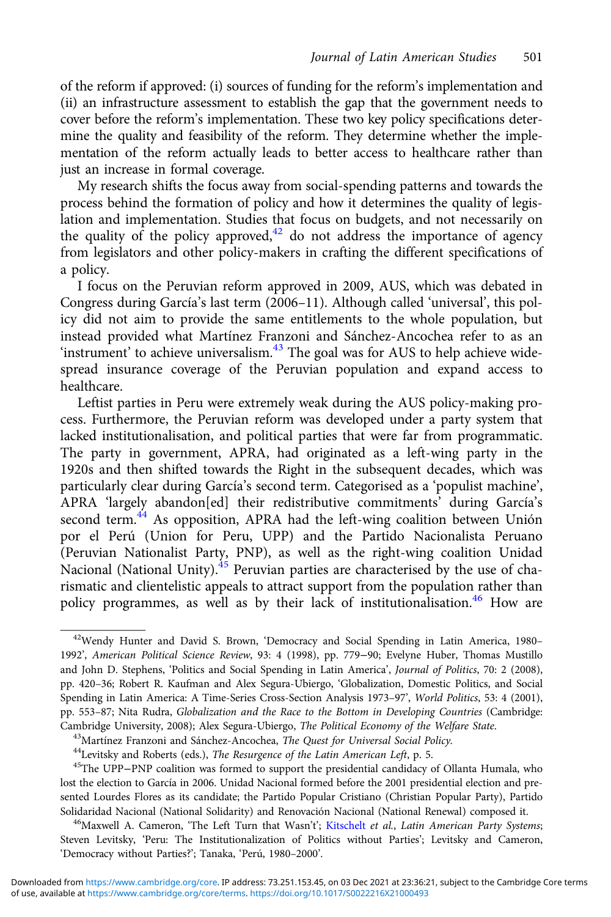of the reform if approved: (i) sources of funding for the reform's implementation and (ii) an infrastructure assessment to establish the gap that the government needs to cover before the reform's implementation. These two key policy specifications determine the quality and feasibility of the reform. They determine whether the implementation of the reform actually leads to better access to healthcare rather than just an increase in formal coverage.

My research shifts the focus away from social-spending patterns and towards the process behind the formation of policy and how it determines the quality of legislation and implementation. Studies that focus on budgets, and not necessarily on the quality of the policy approved,  $42$  do not address the importance of agency from legislators and other policy-makers in crafting the different specifications of a policy.

I focus on the Peruvian reform approved in 2009, AUS, which was debated in Congress during García's last term (2006–11). Although called 'universal', this policy did not aim to provide the same entitlements to the whole population, but instead provided what Martínez Franzoni and Sánchez-Ancochea refer to as an 'instrument' to achieve universalism.<sup>43</sup> The goal was for AUS to help achieve widespread insurance coverage of the Peruvian population and expand access to healthcare.

Leftist parties in Peru were extremely weak during the AUS policy-making process. Furthermore, the Peruvian reform was developed under a party system that lacked institutionalisation, and political parties that were far from programmatic. The party in government, APRA, had originated as a left-wing party in the 1920s and then shifted towards the Right in the subsequent decades, which was particularly clear during García's second term. Categorised as a 'populist machine', APRA 'largely abandon[ed] their redistributive commitments' during García's second term.<sup>44</sup> As opposition, APRA had the left-wing coalition between Unión por el Perú (Union for Peru, UPP) and the Partido Nacionalista Peruano (Peruvian Nationalist Party, PNP), as well as the right-wing coalition Unidad Nacional (National Unity). $4\frac{1}{2}$  Peruvian parties are characterised by the use of charismatic and clientelistic appeals to attract support from the population rather than policy programmes, as well as by their lack of institutionalisation.<sup>46</sup> How are

<sup>42</sup>Wendy Hunter and David S. Brown, 'Democracy and Social Spending in Latin America, 1980– 1992', American Political Science Review, 93: 4 (1998), pp. 779−90; Evelyne Huber, Thomas Mustillo and John D. Stephens, 'Politics and Social Spending in Latin America', Journal of Politics, 70: 2 (2008), pp. 420–36; Robert R. Kaufman and Alex Segura-Ubiergo, 'Globalization, Domestic Politics, and Social Spending in Latin America: A Time-Series Cross-Section Analysis 1973–97', World Politics, 53: 4 (2001), pp. 553–87; Nita Rudra, Globalization and the Race to the Bottom in Developing Countries (Cambridge: Cambridge University, 2008); Alex Segura-Ubiergo, *The Political Economy of the Welfare State*.<br><sup>43</sup>Martínez Franzoni and Sánchez-Ancochea, *The Quest for Universal Social Policy*.<br><sup>44</sup>Levitsky and Roberts (eds.), *The Res* 

lost the election to García in 2006. Unidad Nacional formed before the 2001 presidential election and presented Lourdes Flores as its candidate; the Partido Popular Cristiano (Christian Popular Party), Partido Solidaridad Nacional (National Solidarity) and Renovación Nacional (National Renewal) composed it. 46 Maxwell A. Cameron, 'The Left Turn that Wasn't'; [Kitschelt](https://www.cambridge.org/core/search?filters%5BauthorTerms%5D=Herbert%20Kitschelt&eventCode=SE-AU) et al., Latin American Party Systems;

Steven Levitsky, 'Peru: The Institutionalization of Politics without Parties'; Levitsky and Cameron, 'Democracy without Parties?'; Tanaka, 'Perú, 1980–2000'.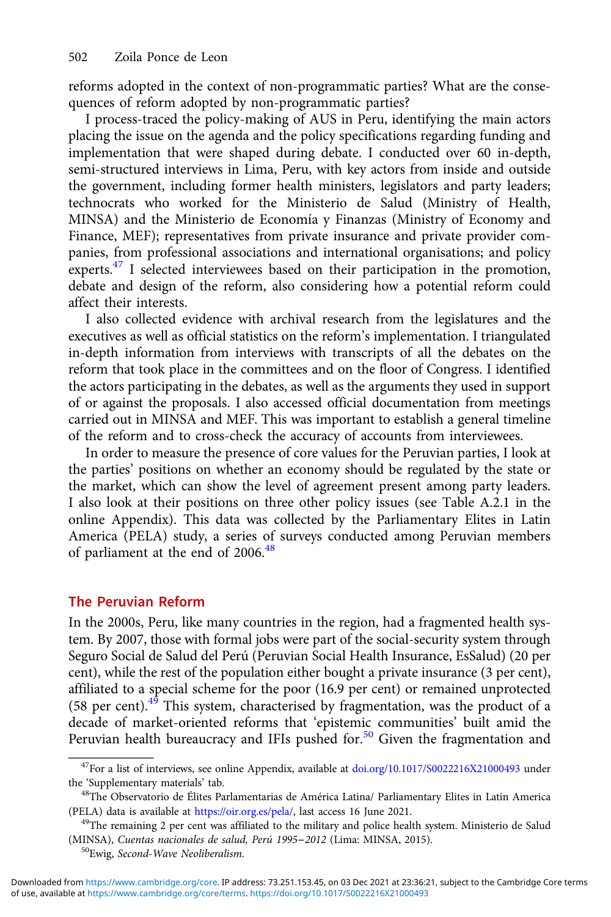reforms adopted in the context of non-programmatic parties? What are the consequences of reform adopted by non-programmatic parties?

I process-traced the policy-making of AUS in Peru, identifying the main actors placing the issue on the agenda and the policy specifications regarding funding and implementation that were shaped during debate. I conducted over 60 in-depth, semi-structured interviews in Lima, Peru, with key actors from inside and outside the government, including former health ministers, legislators and party leaders; technocrats who worked for the Ministerio de Salud (Ministry of Health, MINSA) and the Ministerio de Economía y Finanzas (Ministry of Economy and Finance, MEF); representatives from private insurance and private provider companies, from professional associations and international organisations; and policy experts.<sup>47</sup> I selected interviewees based on their participation in the promotion, debate and design of the reform, also considering how a potential reform could affect their interests.

I also collected evidence with archival research from the legislatures and the executives as well as official statistics on the reform's implementation. I triangulated in-depth information from interviews with transcripts of all the debates on the reform that took place in the committees and on the floor of Congress. I identified the actors participating in the debates, as well as the arguments they used in support of or against the proposals. I also accessed official documentation from meetings carried out in MINSA and MEF. This was important to establish a general timeline of the reform and to cross-check the accuracy of accounts from interviewees.

In order to measure the presence of core values for the Peruvian parties, I look at the parties' positions on whether an economy should be regulated by the state or the market, which can show the level of agreement present among party leaders. I also look at their positions on three other policy issues (see Table A.2.1 in the online Appendix). This data was collected by the Parliamentary Elites in Latin America (PELA) study, a series of surveys conducted among Peruvian members of parliament at the end of 2006.<sup>48</sup>

#### The Peruvian Reform

In the 2000s, Peru, like many countries in the region, had a fragmented health system. By 2007, those with formal jobs were part of the social-security system through Seguro Social de Salud del Perú (Peruvian Social Health Insurance, EsSalud) (20 per cent), while the rest of the population either bought a private insurance (3 per cent), affiliated to a special scheme for the poor (16.9 per cent) or remained unprotected  $(58 \text{ per cent})$ .<sup>49</sup> This system, characterised by fragmentation, was the product of a decade of market-oriented reforms that 'epistemic communities' built amid the Peruvian health bureaucracy and IFIs pushed for.<sup>50</sup> Given the fragmentation and

<sup>47</sup>For a list of interviews, see online Appendix, available at [doi.org/10.1017/S0022216X21000493](https://doi.org/10.1017/S0022216X21000493) under the 'Supplementary materials' tab.<br><sup>48</sup>The Observatorio de Élites Parlamentarias de América Latina/ Parliamentary Elites in Latin America

<sup>(</sup>PELA) data is available at [https://oir.org.es/pela/,](https://oir.org.es/pela/) last access 16 June 2021. 49The remaining 2 per cent was affiliated to the military and police health system. Ministerio de Salud

<sup>(</sup>MINSA), Cuentas nacionales de salud, Perú 1995−<sup>2012</sup> (Lima: MINSA, 2015). 50Ewig, Second-Wave Neoliberalism.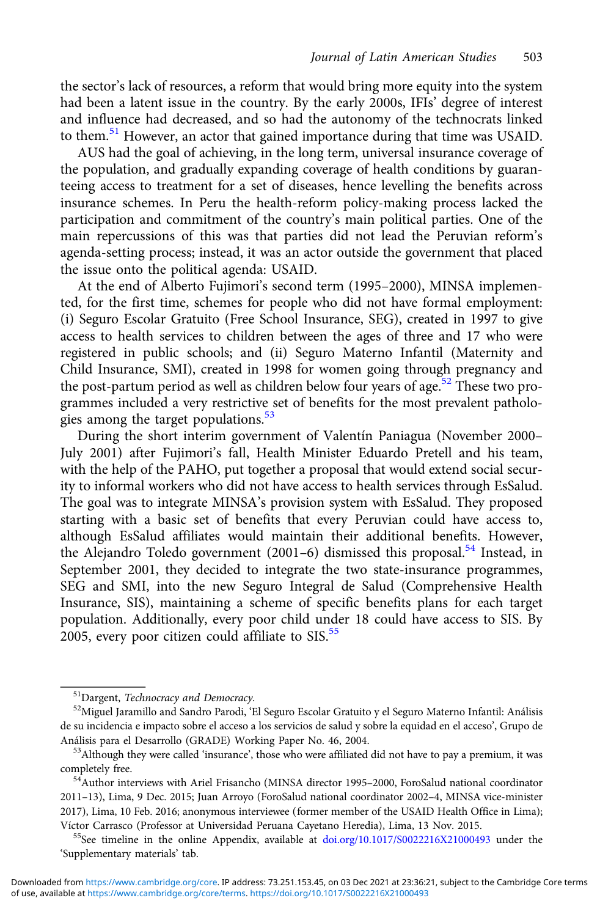the sector's lack of resources, a reform that would bring more equity into the system had been a latent issue in the country. By the early 2000s, IFIs' degree of interest and influence had decreased, and so had the autonomy of the technocrats linked to them.<sup>51</sup> However, an actor that gained importance during that time was USAID.

AUS had the goal of achieving, in the long term, universal insurance coverage of the population, and gradually expanding coverage of health conditions by guaranteeing access to treatment for a set of diseases, hence levelling the benefits across insurance schemes. In Peru the health-reform policy-making process lacked the participation and commitment of the country's main political parties. One of the main repercussions of this was that parties did not lead the Peruvian reform's agenda-setting process; instead, it was an actor outside the government that placed the issue onto the political agenda: USAID.

At the end of Alberto Fujimori's second term (1995–2000), MINSA implemented, for the first time, schemes for people who did not have formal employment: (i) Seguro Escolar Gratuito (Free School Insurance, SEG), created in 1997 to give access to health services to children between the ages of three and 17 who were registered in public schools; and (ii) Seguro Materno Infantil (Maternity and Child Insurance, SMI), created in 1998 for women going through pregnancy and the post-partum period as well as children below four years of age.<sup>52</sup> These two programmes included a very restrictive set of benefits for the most prevalent pathologies among the target populations.<sup>53</sup>

During the short interim government of Valentín Paniagua (November 2000– July 2001) after Fujimori's fall, Health Minister Eduardo Pretell and his team, with the help of the PAHO, put together a proposal that would extend social security to informal workers who did not have access to health services through EsSalud. The goal was to integrate MINSA's provision system with EsSalud. They proposed starting with a basic set of benefits that every Peruvian could have access to, although EsSalud affiliates would maintain their additional benefits. However, the Alejandro Toledo government (2001-6) dismissed this proposal.<sup>54</sup> Instead, in September 2001, they decided to integrate the two state-insurance programmes, SEG and SMI, into the new Seguro Integral de Salud (Comprehensive Health Insurance, SIS), maintaining a scheme of specific benefits plans for each target population. Additionally, every poor child under 18 could have access to SIS. By  $2005$ , every poor citizen could affiliate to SIS. $55$ 

 $^{51}$ Dargent, *Technocracy and Democracy.*<br> $^{52}$ Miguel Jaramillo and Sandro Parodi, 'El Seguro Escolar Gratuito y el Seguro Materno Infantil: Análisis de su incidencia e impacto sobre el acceso a los servicios de salud y sobre la equidad en el acceso', Grupo de Análisis para el Desarrollo (GRADE) Working Paper No. 46, 2004. 53Although they were called 'insurance', those who were affiliated did not have to pay a premium, it was

completely free. 54Author interviews with Ariel Frisancho (MINSA director 1995–2000, ForoSalud national coordinator

<sup>2011</sup>–13), Lima, 9 Dec. 2015; Juan Arroyo (ForoSalud national coordinator 2002–4, MINSA vice-minister 2017), Lima, 10 Feb. 2016; anonymous interviewee (former member of the USAID Health Office in Lima); Víctor Carrasco (Professor at Universidad Peruana Cayetano Heredia), Lima, 13 Nov. 2015.<br><sup>55</sup>See timeline in the online Appendix, available at [doi.org/10.1017/S0022216X21000493](https://doi.org/10.1017/S0022216X21000493) under the

<sup>&#</sup>x27;Supplementary materials' tab.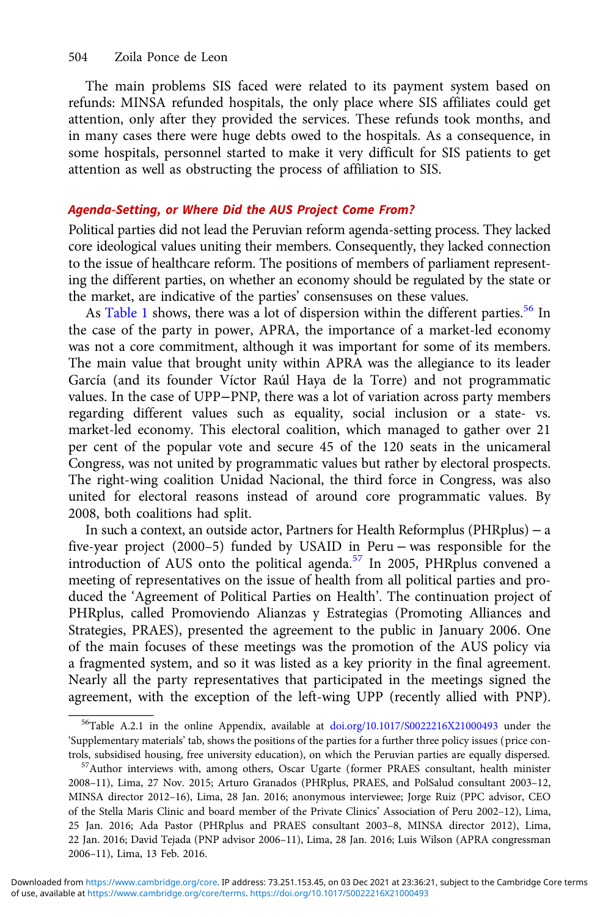The main problems SIS faced were related to its payment system based on refunds: MINSA refunded hospitals, the only place where SIS affiliates could get attention, only after they provided the services. These refunds took months, and in many cases there were huge debts owed to the hospitals. As a consequence, in some hospitals, personnel started to make it very difficult for SIS patients to get attention as well as obstructing the process of affiliation to SIS.

## Agenda-Setting, or Where Did the AUS Project Come From?

Political parties did not lead the Peruvian reform agenda-setting process. They lacked core ideological values uniting their members. Consequently, they lacked connection to the issue of healthcare reform. The positions of members of parliament representing the different parties, on whether an economy should be regulated by the state or the market, are indicative of the parties' consensuses on these values.

As [Table 1](#page-12-0) shows, there was a lot of dispersion within the different parties.<sup>56</sup> In the case of the party in power, APRA, the importance of a market-led economy was not a core commitment, although it was important for some of its members. The main value that brought unity within APRA was the allegiance to its leader García (and its founder Víctor Raúl Haya de la Torre) and not programmatic values. In the case of UPP−PNP, there was a lot of variation across party members regarding different values such as equality, social inclusion or a state- vs. market-led economy. This electoral coalition, which managed to gather over 21 per cent of the popular vote and secure 45 of the 120 seats in the unicameral Congress, was not united by programmatic values but rather by electoral prospects. The right-wing coalition Unidad Nacional, the third force in Congress, was also united for electoral reasons instead of around core programmatic values. By 2008, both coalitions had split.

In such a context, an outside actor, Partners for Health Reformplus (PHRplus) − a five-year project (2000–5) funded by USAID in Peru − was responsible for the introduction of AUS onto the political agenda.<sup>57</sup> In 2005, PHRplus convened a meeting of representatives on the issue of health from all political parties and produced the 'Agreement of Political Parties on Health'. The continuation project of PHRplus, called Promoviendo Alianzas y Estrategias (Promoting Alliances and Strategies, PRAES), presented the agreement to the public in January 2006. One of the main focuses of these meetings was the promotion of the AUS policy via a fragmented system, and so it was listed as a key priority in the final agreement. Nearly all the party representatives that participated in the meetings signed the agreement, with the exception of the left-wing UPP (recently allied with PNP).

<sup>&</sup>lt;sup>56</sup>Table A.2.1 in the online Appendix, available at [doi.org/10.1017/S0022216X21000493](https://doi.org/10.1017/S0022216X21000493) under the 'Supplementary materials' tab, shows the positions of the parties for a further three policy issues (price controls, subsidised housing, free university education), on which the Peruvian parties are equally dispersed. 57Author interviews with, among others, Oscar Ugarte (former PRAES consultant, health minister

<sup>2008</sup>–11), Lima, 27 Nov. 2015; Arturo Granados (PHRplus, PRAES, and PolSalud consultant 2003–12, MINSA director 2012–16), Lima, 28 Jan. 2016; anonymous interviewee; Jorge Ruiz (PPC advisor, CEO of the Stella Maris Clinic and board member of the Private Clinics' Association of Peru 2002–12), Lima, 25 Jan. 2016; Ada Pastor (PHRplus and PRAES consultant 2003–8, MINSA director 2012), Lima, 22 Jan. 2016; David Tejada (PNP advisor 2006–11), Lima, 28 Jan. 2016; Luis Wilson (APRA congressman 2006–11), Lima, 13 Feb. 2016.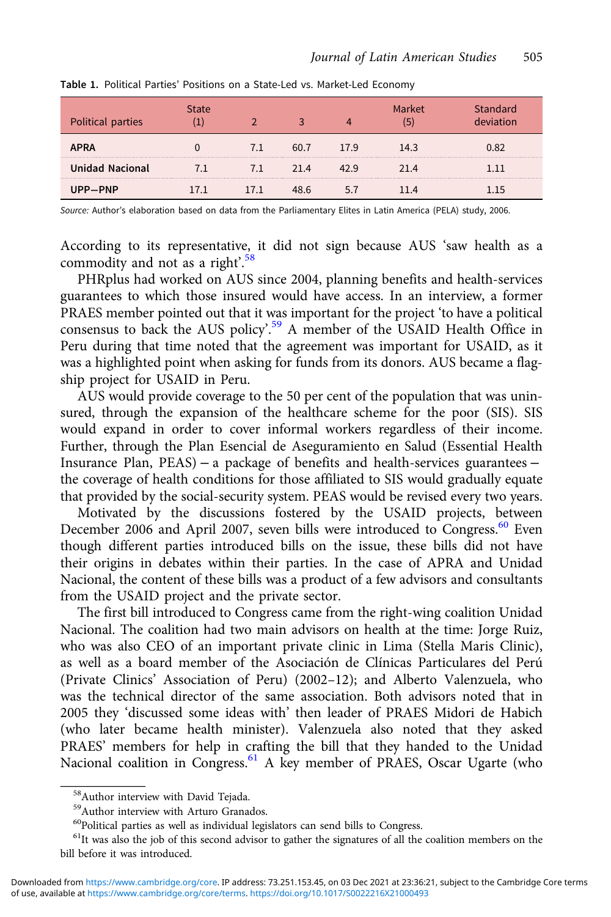| Political parties |      |      |      | "ket- | ındard |
|-------------------|------|------|------|-------|--------|
| <b>APRA</b>       |      |      | 17.9 | 14.3  |        |
| Unidad Nacional   |      | 21 4 | ∣ Q  | 21 4  |        |
| UPP—PNP           | 17 1 |      |      |       |        |

<span id="page-12-0"></span>Table 1. Political Parties' Positions on a State-Led vs. Market-Led Economy

Source: Author's elaboration based on data from the Parliamentary Elites in Latin America (PELA) study, 2006.

According to its representative, it did not sign because AUS 'saw health as a commodity and not as a right'.<sup>58</sup>

PHRplus had worked on AUS since 2004, planning benefits and health-services guarantees to which those insured would have access. In an interview, a former PRAES member pointed out that it was important for the project 'to have a political consensus to back the AUS policy'. <sup>59</sup> A member of the USAID Health Office in Peru during that time noted that the agreement was important for USAID, as it was a highlighted point when asking for funds from its donors. AUS became a flagship project for USAID in Peru.

AUS would provide coverage to the 50 per cent of the population that was uninsured, through the expansion of the healthcare scheme for the poor (SIS). SIS would expand in order to cover informal workers regardless of their income. Further, through the Plan Esencial de Aseguramiento en Salud (Essential Health Insurance Plan, PEAS) − a package of benefits and health-services guarantees − the coverage of health conditions for those affiliated to SIS would gradually equate that provided by the social-security system. PEAS would be revised every two years.

Motivated by the discussions fostered by the USAID projects, between December 2006 and April 2007, seven bills were introduced to Congress.<sup>60</sup> Even though different parties introduced bills on the issue, these bills did not have their origins in debates within their parties. In the case of APRA and Unidad Nacional, the content of these bills was a product of a few advisors and consultants from the USAID project and the private sector.

The first bill introduced to Congress came from the right-wing coalition Unidad Nacional. The coalition had two main advisors on health at the time: Jorge Ruiz, who was also CEO of an important private clinic in Lima (Stella Maris Clinic), as well as a board member of the Asociación de Clínicas Particulares del Perú (Private Clinics' Association of Peru) (2002–12); and Alberto Valenzuela, who was the technical director of the same association. Both advisors noted that in 2005 they 'discussed some ideas with' then leader of PRAES Midori de Habich (who later became health minister). Valenzuela also noted that they asked PRAES' members for help in crafting the bill that they handed to the Unidad Nacional coalition in Congress.<sup>61</sup> A key member of PRAES, Oscar Ugarte (who

<sup>58</sup>Author interview with David Tejada.

<sup>59</sup>Author interview with Arturo Granados.

 $^{60}$ Political parties as well as individual legislators can send bills to Congress.

<sup>&</sup>lt;sup>61</sup>It was also the job of this second advisor to gather the signatures of all the coalition members on the bill before it was introduced.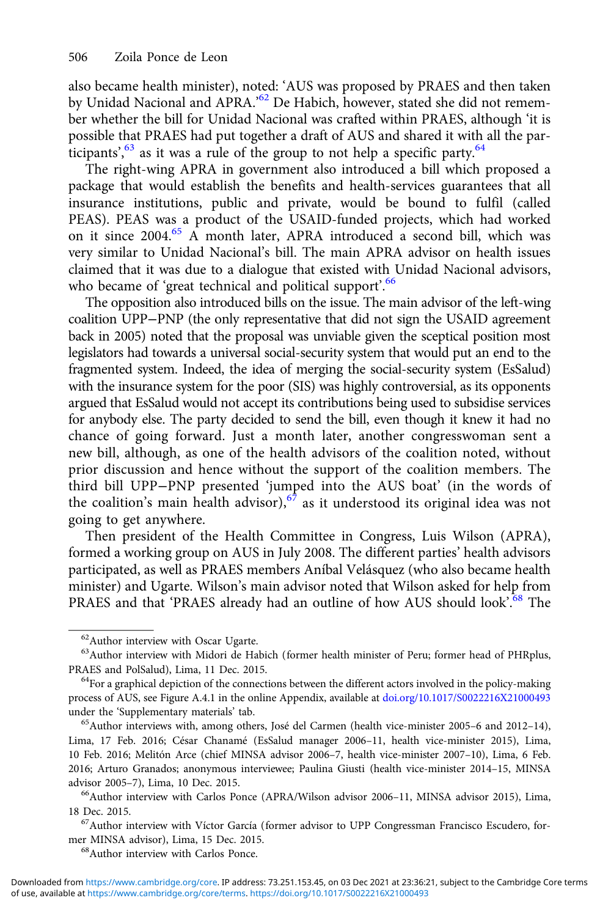also became health minister), noted: 'AUS was proposed by PRAES and then taken by Unidad Nacional and APRA.'<sup>62</sup> De Habich, however, stated she did not remember whether the bill for Unidad Nacional was crafted within PRAES, although 'it is possible that PRAES had put together a draft of AUS and shared it with all the participants',  $63$  as it was a rule of the group to not help a specific party.  $64$ 

The right-wing APRA in government also introduced a bill which proposed a package that would establish the benefits and health-services guarantees that all insurance institutions, public and private, would be bound to fulfil (called PEAS). PEAS was a product of the USAID-funded projects, which had worked on it since 2004.<sup>65</sup> A month later, APRA introduced a second bill, which was very similar to Unidad Nacional's bill. The main APRA advisor on health issues claimed that it was due to a dialogue that existed with Unidad Nacional advisors, who became of 'great technical and political support'.<sup>66</sup>

The opposition also introduced bills on the issue. The main advisor of the left-wing coalition UPP−PNP (the only representative that did not sign the USAID agreement back in 2005) noted that the proposal was unviable given the sceptical position most legislators had towards a universal social-security system that would put an end to the fragmented system. Indeed, the idea of merging the social-security system (EsSalud) with the insurance system for the poor (SIS) was highly controversial, as its opponents argued that EsSalud would not accept its contributions being used to subsidise services for anybody else. The party decided to send the bill, even though it knew it had no chance of going forward. Just a month later, another congresswoman sent a new bill, although, as one of the health advisors of the coalition noted, without prior discussion and hence without the support of the coalition members. The third bill UPP−PNP presented 'jumped into the AUS boat' (in the words of the coalition's main health advisor),  $67$  as it understood its original idea was not going to get anywhere.

Then president of the Health Committee in Congress, Luis Wilson (APRA), formed a working group on AUS in July 2008. The different parties' health advisors participated, as well as PRAES members Aníbal Velásquez (who also became health minister) and Ugarte. Wilson's main advisor noted that Wilson asked for help from PRAES and that 'PRAES already had an outline of how AUS should look'.<sup>68</sup> The

mer MINSA advisor), Lima, 15 Dec. 2015.<br><sup>68</sup>Author interview with Carlos Ponce.

<sup>62</sup>Author interview with Oscar Ugarte.

<sup>&</sup>lt;sup>63</sup>Author interview with Midori de Habich (former health minister of Peru; former head of PHRplus, PRAES and PolSalud), Lima, 11 Dec. 2015.<br><sup>64</sup>For a graphical depiction of the connections between the different actors involved in the policy-making

process of AUS, see Figure A.4.1 in the online Appendix, available at [doi.org/10.1017/S0022216X21000493](https://doi.org/10.1017/S0022216X21000493) under the 'Supplementary materials' tab.<br><sup>65</sup>Author interviews with, among others, José del Carmen (health vice-minister 2005–6 and 2012–14),

Lima, 17 Feb. 2016; César Chanamé (EsSalud manager 2006–11, health vice-minister 2015), Lima, 10 Feb. 2016; Melitón Arce (chief MINSA advisor 2006–7, health vice-minister 2007–10), Lima, 6 Feb. 2016; Arturo Granados; anonymous interviewee; Paulina Giusti (health vice-minister 2014–15, MINSA advisor 2005–7), Lima, 10 Dec. 2015.<br><sup>66</sup>Author interview with Carlos Ponce (APRA/Wilson advisor 2006–11, MINSA advisor 2015), Lima,

<sup>18</sup> Dec. 2015.<br><sup>67</sup>Author interview with Víctor García (former advisor to UPP Congressman Francisco Escudero, for-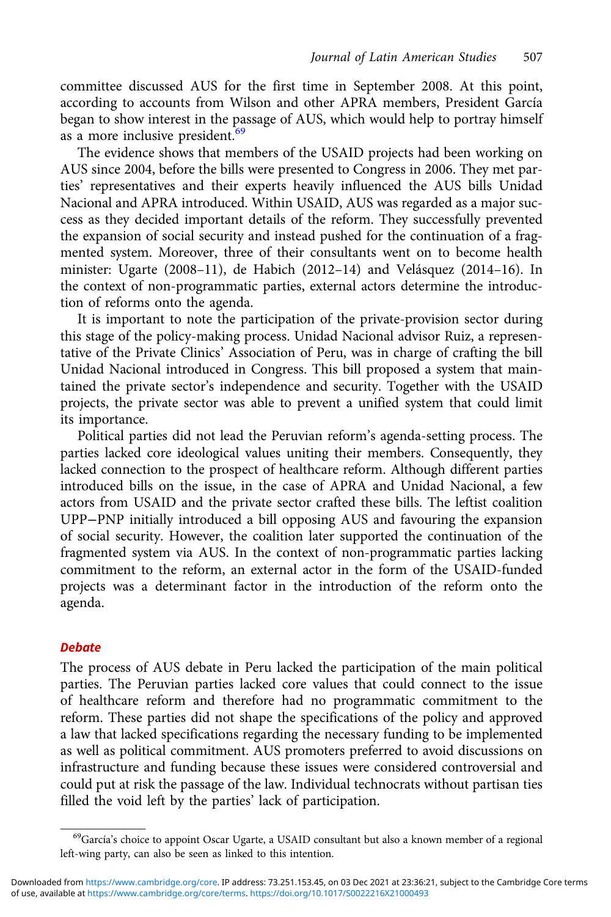committee discussed AUS for the first time in September 2008. At this point, according to accounts from Wilson and other APRA members, President García began to show interest in the passage of AUS, which would help to portray himself as a more inclusive president.<sup>69</sup>

The evidence shows that members of the USAID projects had been working on AUS since 2004, before the bills were presented to Congress in 2006. They met parties' representatives and their experts heavily influenced the AUS bills Unidad Nacional and APRA introduced. Within USAID, AUS was regarded as a major success as they decided important details of the reform. They successfully prevented the expansion of social security and instead pushed for the continuation of a fragmented system. Moreover, three of their consultants went on to become health minister: Ugarte (2008–11), de Habich (2012–14) and Velásquez (2014–16). In the context of non-programmatic parties, external actors determine the introduction of reforms onto the agenda.

It is important to note the participation of the private-provision sector during this stage of the policy-making process. Unidad Nacional advisor Ruiz, a representative of the Private Clinics' Association of Peru, was in charge of crafting the bill Unidad Nacional introduced in Congress. This bill proposed a system that maintained the private sector's independence and security. Together with the USAID projects, the private sector was able to prevent a unified system that could limit its importance.

Political parties did not lead the Peruvian reform's agenda-setting process. The parties lacked core ideological values uniting their members. Consequently, they lacked connection to the prospect of healthcare reform. Although different parties introduced bills on the issue, in the case of APRA and Unidad Nacional, a few actors from USAID and the private sector crafted these bills. The leftist coalition UPP−PNP initially introduced a bill opposing AUS and favouring the expansion of social security. However, the coalition later supported the continuation of the fragmented system via AUS. In the context of non-programmatic parties lacking commitment to the reform, an external actor in the form of the USAID-funded projects was a determinant factor in the introduction of the reform onto the agenda.

#### **Debate**

The process of AUS debate in Peru lacked the participation of the main political parties. The Peruvian parties lacked core values that could connect to the issue of healthcare reform and therefore had no programmatic commitment to the reform. These parties did not shape the specifications of the policy and approved a law that lacked specifications regarding the necessary funding to be implemented as well as political commitment. AUS promoters preferred to avoid discussions on infrastructure and funding because these issues were considered controversial and could put at risk the passage of the law. Individual technocrats without partisan ties filled the void left by the parties' lack of participation.

<sup>&</sup>lt;sup>69</sup>García's choice to appoint Oscar Ugarte, a USAID consultant but also a known member of a regional left-wing party, can also be seen as linked to this intention.

of use, available at <https://www.cambridge.org/core/terms>.<https://doi.org/10.1017/S0022216X21000493> Downloaded from<https://www.cambridge.org/core>. IP address: 73.251.153.45, on 03 Dec 2021 at 23:36:21, subject to the Cambridge Core terms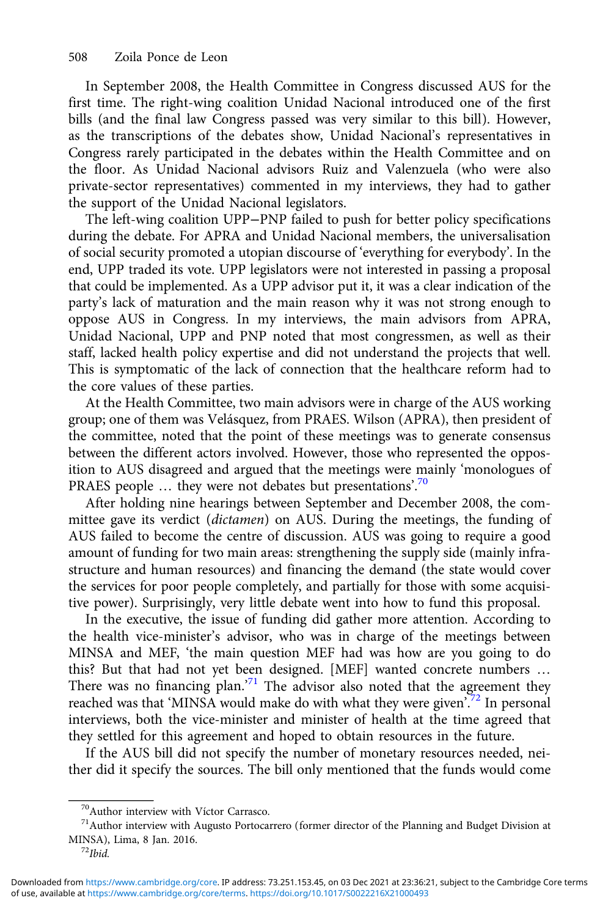In September 2008, the Health Committee in Congress discussed AUS for the first time. The right-wing coalition Unidad Nacional introduced one of the first bills (and the final law Congress passed was very similar to this bill). However, as the transcriptions of the debates show, Unidad Nacional's representatives in Congress rarely participated in the debates within the Health Committee and on the floor. As Unidad Nacional advisors Ruiz and Valenzuela (who were also private-sector representatives) commented in my interviews, they had to gather the support of the Unidad Nacional legislators.

The left-wing coalition UPP−PNP failed to push for better policy specifications during the debate. For APRA and Unidad Nacional members, the universalisation of social security promoted a utopian discourse of 'everything for everybody'. In the end, UPP traded its vote. UPP legislators were not interested in passing a proposal that could be implemented. As a UPP advisor put it, it was a clear indication of the party's lack of maturation and the main reason why it was not strong enough to oppose AUS in Congress. In my interviews, the main advisors from APRA, Unidad Nacional, UPP and PNP noted that most congressmen, as well as their staff, lacked health policy expertise and did not understand the projects that well. This is symptomatic of the lack of connection that the healthcare reform had to the core values of these parties.

At the Health Committee, two main advisors were in charge of the AUS working group; one of them was Velásquez, from PRAES. Wilson (APRA), then president of the committee, noted that the point of these meetings was to generate consensus between the different actors involved. However, those who represented the opposition to AUS disagreed and argued that the meetings were mainly 'monologues of PRAES people ... they were not debates but presentations'.<sup>70</sup>

After holding nine hearings between September and December 2008, the committee gave its verdict (dictamen) on AUS. During the meetings, the funding of AUS failed to become the centre of discussion. AUS was going to require a good amount of funding for two main areas: strengthening the supply side (mainly infrastructure and human resources) and financing the demand (the state would cover the services for poor people completely, and partially for those with some acquisitive power). Surprisingly, very little debate went into how to fund this proposal.

In the executive, the issue of funding did gather more attention. According to the health vice-minister's advisor, who was in charge of the meetings between MINSA and MEF, 'the main question MEF had was how are you going to do this? But that had not yet been designed. [MEF] wanted concrete numbers … There was no financing  $plan.^{71}$  The advisor also noted that the agreement they reached was that 'MINSA would make do with what they were given'.<sup>72</sup> In personal interviews, both the vice-minister and minister of health at the time agreed that they settled for this agreement and hoped to obtain resources in the future.

If the AUS bill did not specify the number of monetary resources needed, neither did it specify the sources. The bill only mentioned that the funds would come

<sup>70</sup>Author interview with Víctor Carrasco.

 $71$ Author interview with Augusto Portocarrero (former director of the Planning and Budget Division at MINSA), Lima, 8 Jan. 2016. <sup>72</sup>Ibid.

of use, available at <https://www.cambridge.org/core/terms>.<https://doi.org/10.1017/S0022216X21000493> Downloaded from<https://www.cambridge.org/core>. IP address: 73.251.153.45, on 03 Dec 2021 at 23:36:21, subject to the Cambridge Core terms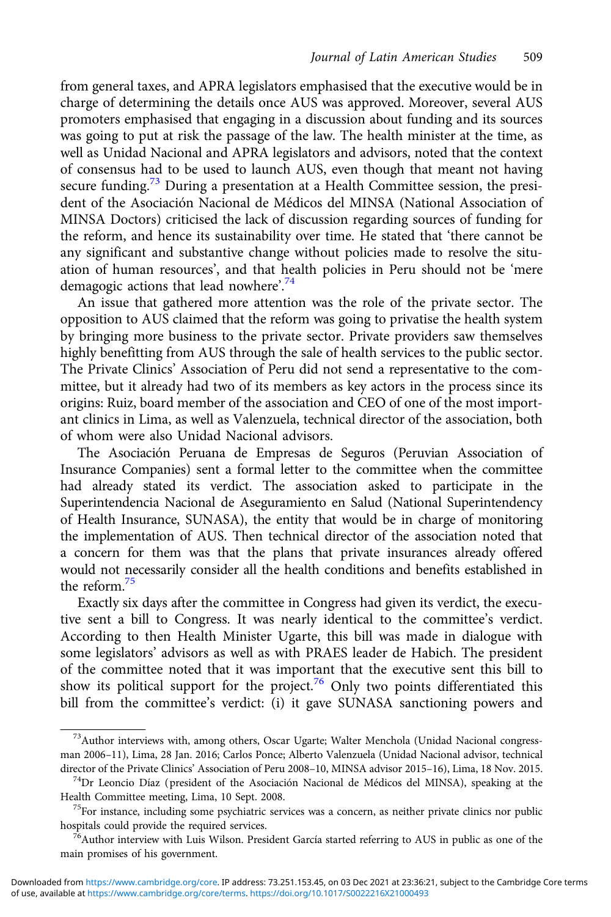from general taxes, and APRA legislators emphasised that the executive would be in charge of determining the details once AUS was approved. Moreover, several AUS promoters emphasised that engaging in a discussion about funding and its sources was going to put at risk the passage of the law. The health minister at the time, as well as Unidad Nacional and APRA legislators and advisors, noted that the context of consensus had to be used to launch AUS, even though that meant not having secure funding.<sup>73</sup> During a presentation at a Health Committee session, the president of the Asociación Nacional de Médicos del MINSA (National Association of MINSA Doctors) criticised the lack of discussion regarding sources of funding for the reform, and hence its sustainability over time. He stated that 'there cannot be any significant and substantive change without policies made to resolve the situation of human resources', and that health policies in Peru should not be 'mere demagogic actions that lead nowhere'.<sup>74</sup>

An issue that gathered more attention was the role of the private sector. The opposition to AUS claimed that the reform was going to privatise the health system by bringing more business to the private sector. Private providers saw themselves highly benefitting from AUS through the sale of health services to the public sector. The Private Clinics' Association of Peru did not send a representative to the committee, but it already had two of its members as key actors in the process since its origins: Ruiz, board member of the association and CEO of one of the most important clinics in Lima, as well as Valenzuela, technical director of the association, both of whom were also Unidad Nacional advisors.

The Asociación Peruana de Empresas de Seguros (Peruvian Association of Insurance Companies) sent a formal letter to the committee when the committee had already stated its verdict. The association asked to participate in the Superintendencia Nacional de Aseguramiento en Salud (National Superintendency of Health Insurance, SUNASA), the entity that would be in charge of monitoring the implementation of AUS. Then technical director of the association noted that a concern for them was that the plans that private insurances already offered would not necessarily consider all the health conditions and benefits established in the reform.75

Exactly six days after the committee in Congress had given its verdict, the executive sent a bill to Congress. It was nearly identical to the committee's verdict. According to then Health Minister Ugarte, this bill was made in dialogue with some legislators' advisors as well as with PRAES leader de Habich. The president of the committee noted that it was important that the executive sent this bill to show its political support for the project.<sup>76</sup> Only two points differentiated this bill from the committee's verdict: (i) it gave SUNASA sanctioning powers and

<sup>&</sup>lt;sup>73</sup>Author interviews with, among others, Oscar Ugarte; Walter Menchola (Unidad Nacional congressman 2006–11), Lima, 28 Jan. 2016; Carlos Ponce; Alberto Valenzuela (Unidad Nacional advisor, technical director of the Private Clinics' Association of Peru 2008–10, MINSA advisor 2015–16), Lima, 18 Nov. 2015. <sup>74</sup>Dr Leoncio Díaz (president of the Asociación Nacional de Médicos del MINSA), speaking at the

Health Committee meeting, Lima, 10 Sept. 2008.<br><sup>75</sup>For instance, including some psychiatric services was a concern, as neither private clinics nor public hospitals could provide the required services.

 $^{76}$ Author interview with Luis Wilson. President García started referring to AUS in public as one of the main promises of his government.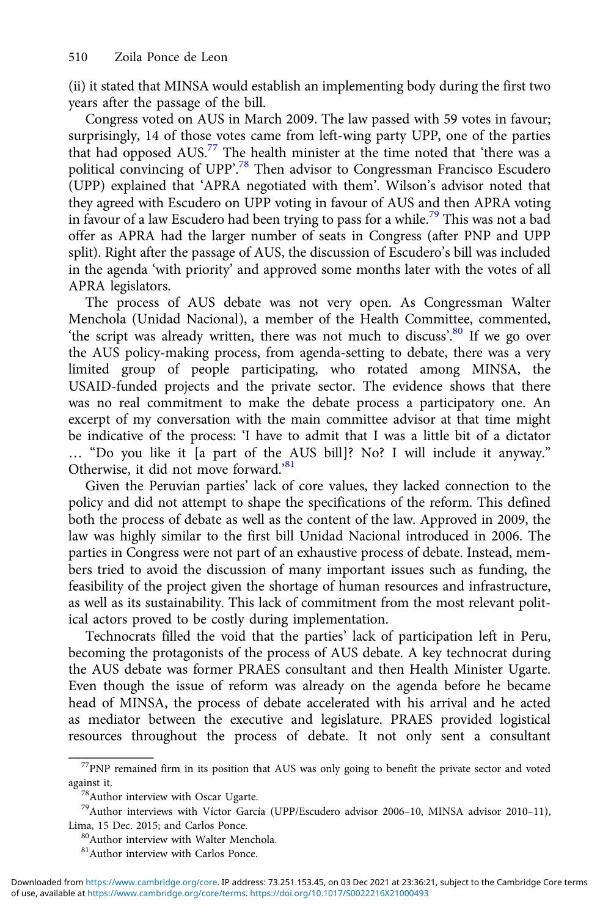(ii) it stated that MINSA would establish an implementing body during the first two years after the passage of the bill.

Congress voted on AUS in March 2009. The law passed with 59 votes in favour; surprisingly, 14 of those votes came from left-wing party UPP, one of the parties that had opposed AUS.<sup>77</sup> The health minister at the time noted that 'there was a political convincing of UPP'.<sup>78</sup> Then advisor to Congressman Francisco Escudero (UPP) explained that 'APRA negotiated with them'. Wilson's advisor noted that they agreed with Escudero on UPP voting in favour of AUS and then APRA voting in favour of a law Escudero had been trying to pass for a while.<sup>79</sup> This was not a bad offer as APRA had the larger number of seats in Congress (after PNP and UPP split). Right after the passage of AUS, the discussion of Escudero's bill was included in the agenda 'with priority' and approved some months later with the votes of all APRA legislators.

The process of AUS debate was not very open. As Congressman Walter Menchola (Unidad Nacional), a member of the Health Committee, commented, 'the script was already written, there was not much to discuss'.<sup>80</sup> If we go over the AUS policy-making process, from agenda-setting to debate, there was a very limited group of people participating, who rotated among MINSA, the USAID-funded projects and the private sector. The evidence shows that there was no real commitment to make the debate process a participatory one. An excerpt of my conversation with the main committee advisor at that time might be indicative of the process: 'I have to admit that I was a little bit of a dictator … "Do you like it [a part of the AUS bill]? No? I will include it anyway." Otherwise, it did not move forward.'<sup>81</sup>

Given the Peruvian parties' lack of core values, they lacked connection to the policy and did not attempt to shape the specifications of the reform. This defined both the process of debate as well as the content of the law. Approved in 2009, the law was highly similar to the first bill Unidad Nacional introduced in 2006. The parties in Congress were not part of an exhaustive process of debate. Instead, members tried to avoid the discussion of many important issues such as funding, the feasibility of the project given the shortage of human resources and infrastructure, as well as its sustainability. This lack of commitment from the most relevant political actors proved to be costly during implementation.

Technocrats filled the void that the parties' lack of participation left in Peru, becoming the protagonists of the process of AUS debate. A key technocrat during the AUS debate was former PRAES consultant and then Health Minister Ugarte. Even though the issue of reform was already on the agenda before he became head of MINSA, the process of debate accelerated with his arrival and he acted as mediator between the executive and legislature. PRAES provided logistical resources throughout the process of debate. It not only sent a consultant

<sup>77</sup>PNP remained firm in its position that AUS was only going to benefit the private sector and voted against it.  $$^{78}\rm{A}$  uthor interview with Oscar Ugarte.

<sup>&</sup>lt;sup>79</sup>Author interviews with Víctor García (UPP/Escudero advisor 2006–10, MINSA advisor 2010–11), Lima, 15 Dec. 2015; and Carlos Ponce.

 $80$ Author interview with Walter Menchola.

<sup>81</sup>Author interview with Carlos Ponce.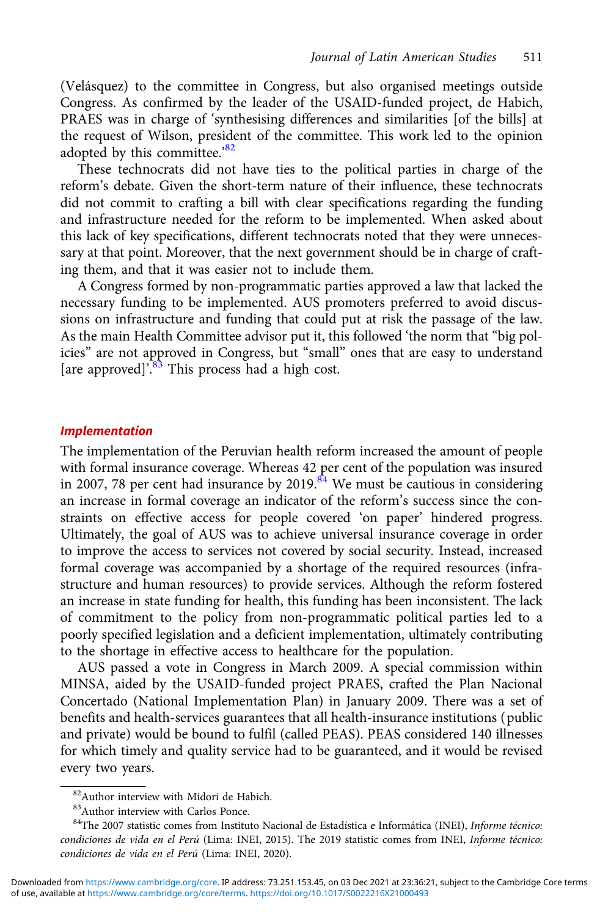(Velásquez) to the committee in Congress, but also organised meetings outside Congress. As confirmed by the leader of the USAID-funded project, de Habich, PRAES was in charge of 'synthesising differences and similarities [of the bills] at the request of Wilson, president of the committee. This work led to the opinion adopted by this committee.'82

These technocrats did not have ties to the political parties in charge of the reform's debate. Given the short-term nature of their influence, these technocrats did not commit to crafting a bill with clear specifications regarding the funding and infrastructure needed for the reform to be implemented. When asked about this lack of key specifications, different technocrats noted that they were unnecessary at that point. Moreover, that the next government should be in charge of crafting them, and that it was easier not to include them.

A Congress formed by non-programmatic parties approved a law that lacked the necessary funding to be implemented. AUS promoters preferred to avoid discussions on infrastructure and funding that could put at risk the passage of the law. As the main Health Committee advisor put it, this followed 'the norm that "big policies" are not approved in Congress, but "small" ones that are easy to understand [are approved]<sup>'.<sup>83</sup> This process had a high cost.</sup>

#### Implementation

The implementation of the Peruvian health reform increased the amount of people with formal insurance coverage. Whereas 42 per cent of the population was insured in 2007, 78 per cent had insurance by 2019.<sup>84</sup> We must be cautious in considering an increase in formal coverage an indicator of the reform's success since the constraints on effective access for people covered 'on paper' hindered progress. Ultimately, the goal of AUS was to achieve universal insurance coverage in order to improve the access to services not covered by social security. Instead, increased formal coverage was accompanied by a shortage of the required resources (infrastructure and human resources) to provide services. Although the reform fostered an increase in state funding for health, this funding has been inconsistent. The lack of commitment to the policy from non-programmatic political parties led to a poorly specified legislation and a deficient implementation, ultimately contributing to the shortage in effective access to healthcare for the population.

AUS passed a vote in Congress in March 2009. A special commission within MINSA, aided by the USAID-funded project PRAES, crafted the Plan Nacional Concertado (National Implementation Plan) in January 2009. There was a set of benefits and health-services guarantees that all health-insurance institutions (public and private) would be bound to fulfil (called PEAS). PEAS considered 140 illnesses for which timely and quality service had to be guaranteed, and it would be revised every two years.

<sup>82</sup>Author interview with Midori de Habich.

<sup>83</sup>Author interview with Carlos Ponce.

<sup>84</sup>The 2007 statistic comes from Instituto Nacional de Estadística e Informática (INEI), Informe técnico: condiciones de vida en el Perú (Lima: INEI, 2015). The 2019 statistic comes from INEI, Informe técnico: condiciones de vida en el Perú (Lima: INEI, 2020).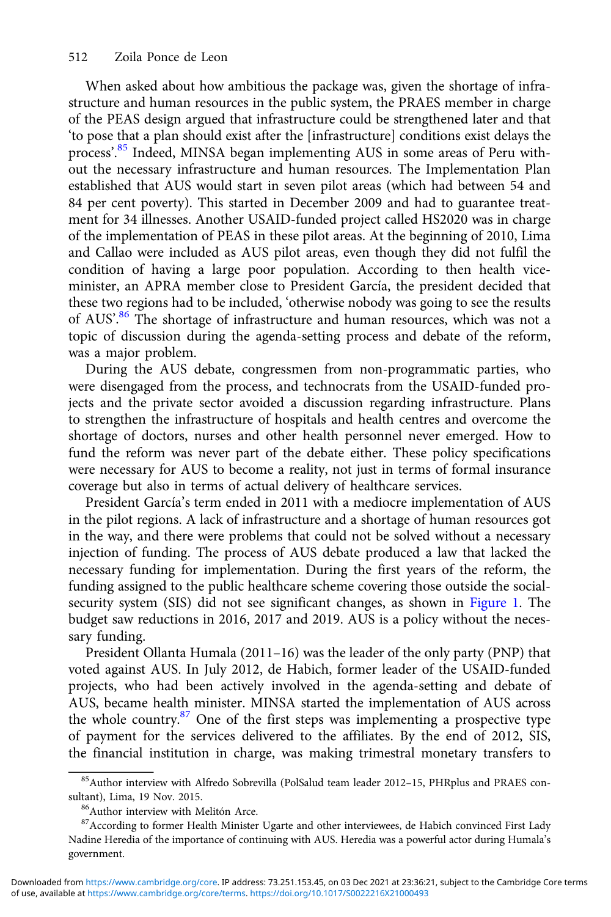When asked about how ambitious the package was, given the shortage of infrastructure and human resources in the public system, the PRAES member in charge of the PEAS design argued that infrastructure could be strengthened later and that 'to pose that a plan should exist after the [infrastructure] conditions exist delays the process'.<sup>85</sup> Indeed, MINSA began implementing AUS in some areas of Peru without the necessary infrastructure and human resources. The Implementation Plan established that AUS would start in seven pilot areas (which had between 54 and 84 per cent poverty). This started in December 2009 and had to guarantee treatment for 34 illnesses. Another USAID-funded project called HS2020 was in charge of the implementation of PEAS in these pilot areas. At the beginning of 2010, Lima and Callao were included as AUS pilot areas, even though they did not fulfil the condition of having a large poor population. According to then health viceminister, an APRA member close to President García, the president decided that these two regions had to be included, 'otherwise nobody was going to see the results of AUS'.<sup>86</sup> The shortage of infrastructure and human resources, which was not a topic of discussion during the agenda-setting process and debate of the reform, was a major problem.

During the AUS debate, congressmen from non-programmatic parties, who were disengaged from the process, and technocrats from the USAID-funded projects and the private sector avoided a discussion regarding infrastructure. Plans to strengthen the infrastructure of hospitals and health centres and overcome the shortage of doctors, nurses and other health personnel never emerged. How to fund the reform was never part of the debate either. These policy specifications were necessary for AUS to become a reality, not just in terms of formal insurance coverage but also in terms of actual delivery of healthcare services.

President García's term ended in 2011 with a mediocre implementation of AUS in the pilot regions. A lack of infrastructure and a shortage of human resources got in the way, and there were problems that could not be solved without a necessary injection of funding. The process of AUS debate produced a law that lacked the necessary funding for implementation. During the first years of the reform, the funding assigned to the public healthcare scheme covering those outside the social-security system (SIS) did not see significant changes, as shown in [Figure 1](#page-20-0). The budget saw reductions in 2016, 2017 and 2019. AUS is a policy without the necessary funding.

President Ollanta Humala (2011–16) was the leader of the only party (PNP) that voted against AUS. In July 2012, de Habich, former leader of the USAID-funded projects, who had been actively involved in the agenda-setting and debate of AUS, became health minister. MINSA started the implementation of AUS across the whole country.87 One of the first steps was implementing a prospective type of payment for the services delivered to the affiliates. By the end of 2012, SIS, the financial institution in charge, was making trimestral monetary transfers to

<sup>85</sup>Author interview with Alfredo Sobrevilla (PolSalud team leader 2012–15, PHRplus and PRAES consultant), Lima, 19 Nov. 2015.<br><sup>86</sup>Author interview with Melitón Arce.

<sup>&</sup>lt;sup>87</sup>According to former Health Minister Ugarte and other interviewees, de Habich convinced First Lady Nadine Heredia of the importance of continuing with AUS. Heredia was a powerful actor during Humala's government.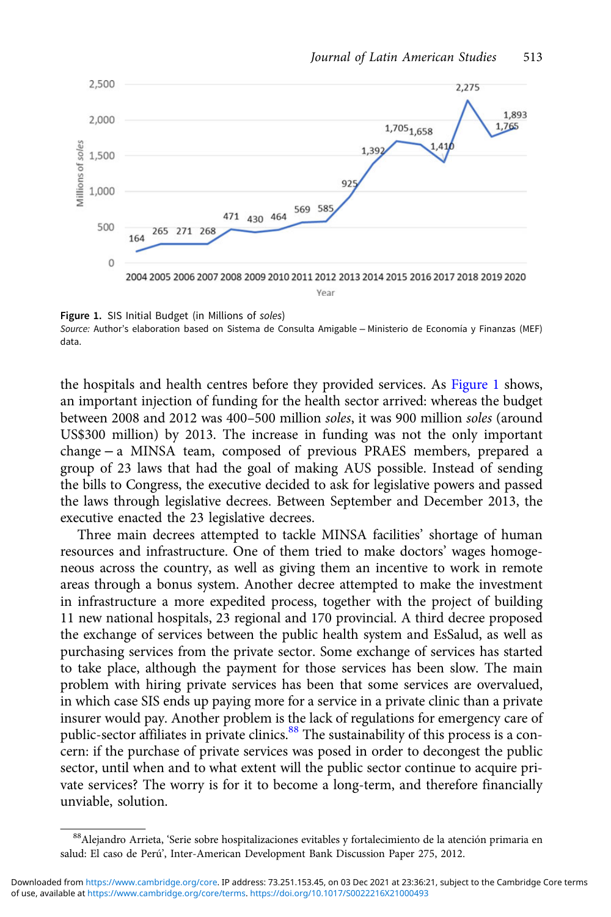<span id="page-20-0"></span>

Figure 1. SIS Initial Budget (in Millions of soles) Source: Author's elaboration based on Sistema de Consulta Amigable − Ministerio de Economía y Finanzas (MEF) data.

the hospitals and health centres before they provided services. As Figure 1 shows, an important injection of funding for the health sector arrived: whereas the budget between 2008 and 2012 was 400–500 million soles, it was 900 million soles (around US\$300 million) by 2013. The increase in funding was not the only important change − a MINSA team, composed of previous PRAES members, prepared a group of 23 laws that had the goal of making AUS possible. Instead of sending the bills to Congress, the executive decided to ask for legislative powers and passed the laws through legislative decrees. Between September and December 2013, the executive enacted the 23 legislative decrees.

Three main decrees attempted to tackle MINSA facilities' shortage of human resources and infrastructure. One of them tried to make doctors' wages homogeneous across the country, as well as giving them an incentive to work in remote areas through a bonus system. Another decree attempted to make the investment in infrastructure a more expedited process, together with the project of building 11 new national hospitals, 23 regional and 170 provincial. A third decree proposed the exchange of services between the public health system and EsSalud, as well as purchasing services from the private sector. Some exchange of services has started to take place, although the payment for those services has been slow. The main problem with hiring private services has been that some services are overvalued, in which case SIS ends up paying more for a service in a private clinic than a private insurer would pay. Another problem is the lack of regulations for emergency care of public-sector affiliates in private clinics.<sup>88</sup> The sustainability of this process is a concern: if the purchase of private services was posed in order to decongest the public sector, until when and to what extent will the public sector continue to acquire private services? The worry is for it to become a long-term, and therefore financially unviable, solution.

<sup>88</sup>Alejandro Arrieta, 'Serie sobre hospitalizaciones evitables y fortalecimiento de la atención primaria en salud: El caso de Perú', Inter-American Development Bank Discussion Paper 275, 2012.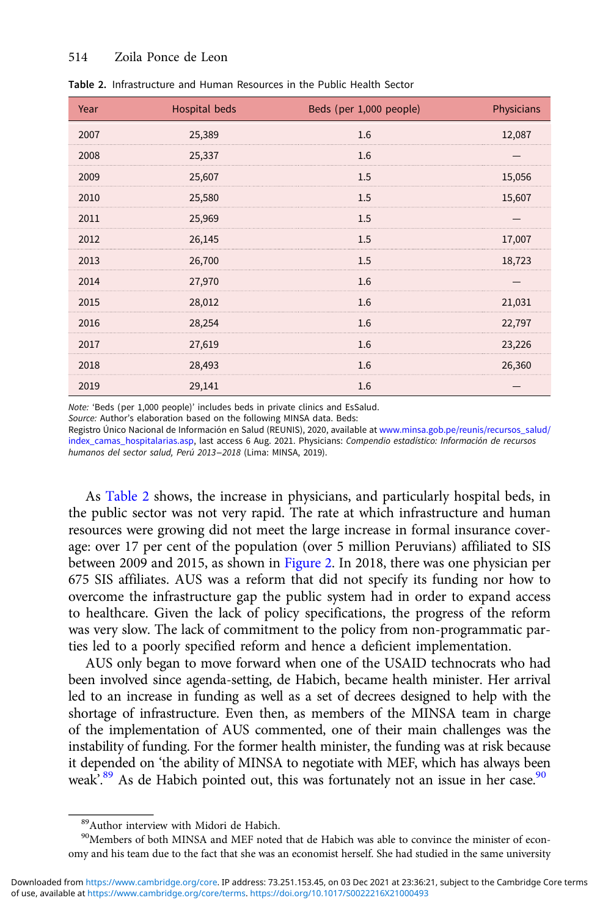#### 514 Zoila Ponce de Leon

| Year | <b>Hospital beds</b> | Beds (per 1,000 people) | Physicians |
|------|----------------------|-------------------------|------------|
| 2007 | 25,389               | 1.6                     | 12,087     |
| 2008 | 25,337               | 1.6                     |            |
| 2009 | 25,607               | 1.5                     | 15,056     |
| 2010 | 25,580               | 1.5                     | 15,607     |
| 2011 | 25,969               | 1.5                     |            |
| 2012 | 26,145               | 1.5                     | 17,007     |
| 2013 | 26,700               | 1.5                     | 18,723     |
| 2014 | 27,970               | 1.6                     |            |
| 2015 | 28,012               | 1.6                     | 21,031     |
| 2016 | 28,254               | 1.6                     | 22,797     |
| 2017 | 27,619               | 1.6                     | 23,226     |
| 2018 | 28,493               | 1.6                     | 26,360     |
| 2019 | 29,141               | 1.6                     |            |

| Table 2. Infrastructure and Human Resources in the Public Health Sector |
|-------------------------------------------------------------------------|
|-------------------------------------------------------------------------|

Note: 'Beds (per 1,000 people)' includes beds in private clinics and EsSalud.

Source: Author's elaboration based on the following MINSA data. Beds:

Registro Único Nacional de Información en Salud (REUNIS), 2020, available at [www.minsa.gob.pe/reunis/recursos\\_salud/](https://www.minsa.gob.pe/reunis/recursos_salud/index_camas_hospitalarias.asp) [index\\_camas\\_hospitalarias.asp,](https://www.minsa.gob.pe/reunis/recursos_salud/index_camas_hospitalarias.asp) last access 6 Aug. 2021. Physicians: Compendio estadístico: Información de recursos humanos del sector salud, Perú 2013−2018 (Lima: MINSA, 2019).

As Table 2 shows, the increase in physicians, and particularly hospital beds, in the public sector was not very rapid. The rate at which infrastructure and human resources were growing did not meet the large increase in formal insurance coverage: over 17 per cent of the population (over 5 million Peruvians) affiliated to SIS between 2009 and 2015, as shown in [Figure 2.](#page-22-0) In 2018, there was one physician per 675 SIS affiliates. AUS was a reform that did not specify its funding nor how to overcome the infrastructure gap the public system had in order to expand access to healthcare. Given the lack of policy specifications, the progress of the reform was very slow. The lack of commitment to the policy from non-programmatic parties led to a poorly specified reform and hence a deficient implementation.

AUS only began to move forward when one of the USAID technocrats who had been involved since agenda-setting, de Habich, became health minister. Her arrival led to an increase in funding as well as a set of decrees designed to help with the shortage of infrastructure. Even then, as members of the MINSA team in charge of the implementation of AUS commented, one of their main challenges was the instability of funding. For the former health minister, the funding was at risk because it depended on 'the ability of MINSA to negotiate with MEF, which has always been weak<sup>'.89</sup> As de Habich pointed out, this was fortunately not an issue in her case.<sup>90</sup>

<sup>89</sup>Author interview with Midori de Habich.

<sup>&</sup>lt;sup>90</sup>Members of both MINSA and MEF noted that de Habich was able to convince the minister of economy and his team due to the fact that she was an economist herself. She had studied in the same university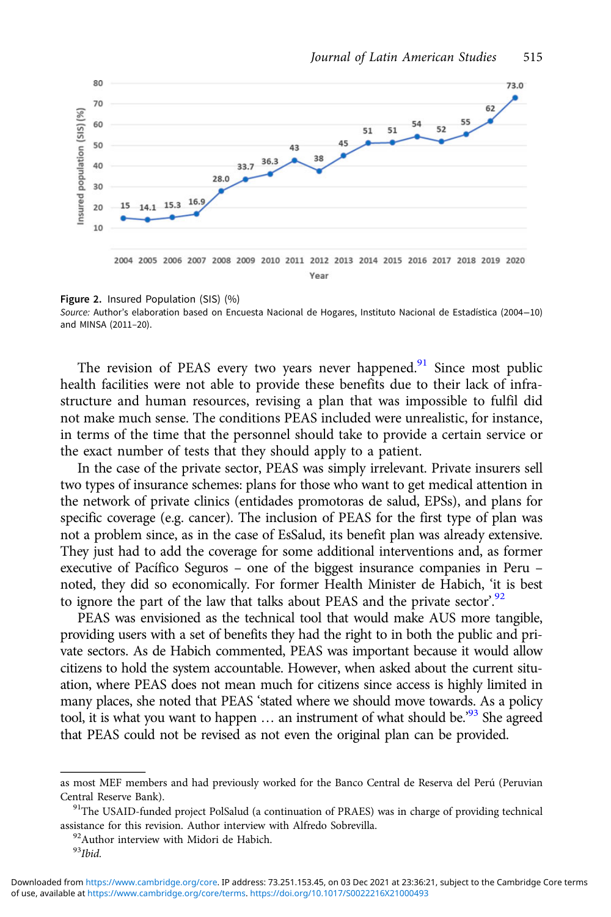<span id="page-22-0"></span>

Figure 2. Insured Population (SIS) (%) Source: Author's elaboration based on Encuesta Nacional de Hogares, Instituto Nacional de Estadística (2004−10) and MINSA (2011–20).

The revision of PEAS every two years never happened.<sup>91</sup> Since most public health facilities were not able to provide these benefits due to their lack of infrastructure and human resources, revising a plan that was impossible to fulfil did not make much sense. The conditions PEAS included were unrealistic, for instance, in terms of the time that the personnel should take to provide a certain service or the exact number of tests that they should apply to a patient.

In the case of the private sector, PEAS was simply irrelevant. Private insurers sell two types of insurance schemes: plans for those who want to get medical attention in the network of private clinics (entidades promotoras de salud, EPSs), and plans for specific coverage (e.g. cancer). The inclusion of PEAS for the first type of plan was not a problem since, as in the case of EsSalud, its benefit plan was already extensive. They just had to add the coverage for some additional interventions and, as former executive of Pacífico Seguros – one of the biggest insurance companies in Peru – noted, they did so economically. For former Health Minister de Habich, 'it is best to ignore the part of the law that talks about PEAS and the private sector.<sup>92</sup>

PEAS was envisioned as the technical tool that would make AUS more tangible, providing users with a set of benefits they had the right to in both the public and private sectors. As de Habich commented, PEAS was important because it would allow citizens to hold the system accountable. However, when asked about the current situation, where PEAS does not mean much for citizens since access is highly limited in many places, she noted that PEAS 'stated where we should move towards. As a policy tool, it is what you want to happen … an instrument of what should be.' <sup>93</sup> She agreed that PEAS could not be revised as not even the original plan can be provided.

as most MEF members and had previously worked for the Banco Central de Reserva del Perú (Peruvian Central Reserve Bank).<br><sup>91</sup>The USAID-funded project PolSalud (a continuation of PRAES) was in charge of providing technical

assistance for this revision. Author interview with Alfredo Sobrevilla.  $^{92}\!$  Author interview with Midori de Habich.

 $93$ Ibid.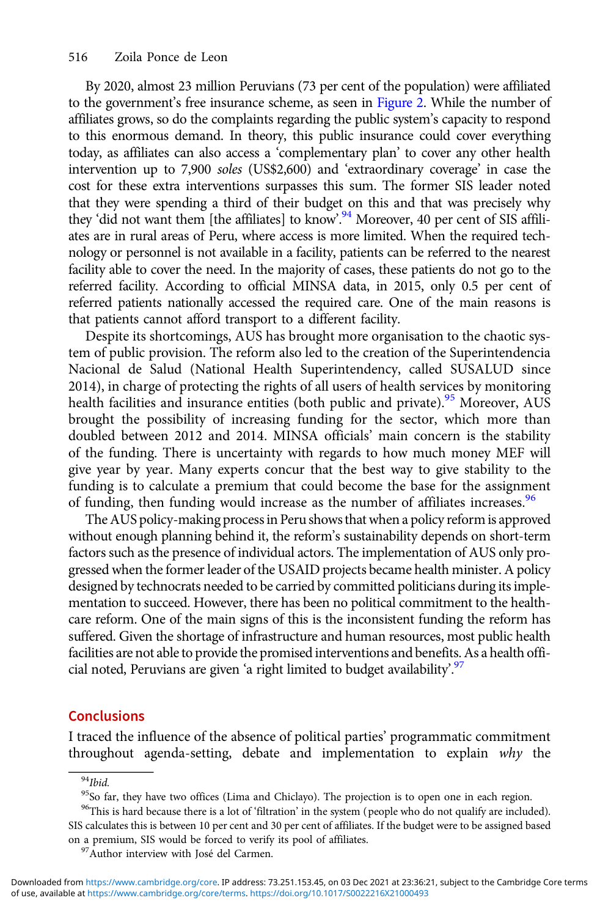By 2020, almost 23 million Peruvians (73 per cent of the population) were affiliated to the government's free insurance scheme, as seen in [Figure 2](#page-22-0). While the number of affiliates grows, so do the complaints regarding the public system's capacity to respond to this enormous demand. In theory, this public insurance could cover everything today, as affiliates can also access a 'complementary plan' to cover any other health intervention up to 7,900 soles (US\$2,600) and 'extraordinary coverage' in case the cost for these extra interventions surpasses this sum. The former SIS leader noted that they were spending a third of their budget on this and that was precisely why they 'did not want them [the affiliates] to know'.<sup>94</sup> Moreover, 40 per cent of SIS affiliates are in rural areas of Peru, where access is more limited. When the required technology or personnel is not available in a facility, patients can be referred to the nearest facility able to cover the need. In the majority of cases, these patients do not go to the referred facility. According to official MINSA data, in 2015, only 0.5 per cent of referred patients nationally accessed the required care. One of the main reasons is that patients cannot afford transport to a different facility.

Despite its shortcomings, AUS has brought more organisation to the chaotic system of public provision. The reform also led to the creation of the Superintendencia Nacional de Salud (National Health Superintendency, called SUSALUD since 2014), in charge of protecting the rights of all users of health services by monitoring health facilities and insurance entities (both public and private).<sup>95</sup> Moreover, AUS brought the possibility of increasing funding for the sector, which more than doubled between 2012 and 2014. MINSA officials' main concern is the stability of the funding. There is uncertainty with regards to how much money MEF will give year by year. Many experts concur that the best way to give stability to the funding is to calculate a premium that could become the base for the assignment of funding, then funding would increase as the number of affiliates increases.<sup>96</sup>

The AUS policy-making process in Peru shows that when a policy reform is approved without enough planning behind it, the reform's sustainability depends on short-term factors such as the presence of individual actors. The implementation of AUS only progressed when the former leader of the USAID projects became health minister. A policy designed by technocrats needed to be carried by committed politicians during its implementation to succeed. However, there has been no political commitment to the healthcare reform. One of the main signs of this is the inconsistent funding the reform has suffered. Given the shortage of infrastructure and human resources, most public health facilities are not able to provide the promised interventions and benefits. As a health official noted, Peruvians are given 'a right limited to budget availability'.<sup>97</sup>

## **Conclusions**

I traced the influence of the absence of political parties' programmatic commitment throughout agenda-setting, debate and implementation to explain why the

<sup>95</sup>So far, they have two offices (Lima and Chiclayo). The projection is to open one in each region.

<sup>96</sup>This is hard because there is a lot of 'filtration' in the system (people who do not qualify are included). SIS calculates this is between 10 per cent and 30 per cent of affiliates. If the budget were to be assigned based

on a premium, SIS would be forced to verify its pool of affiliates.<br><sup>97</sup>Author interview with José del Carmen.

 $94$ Ibid.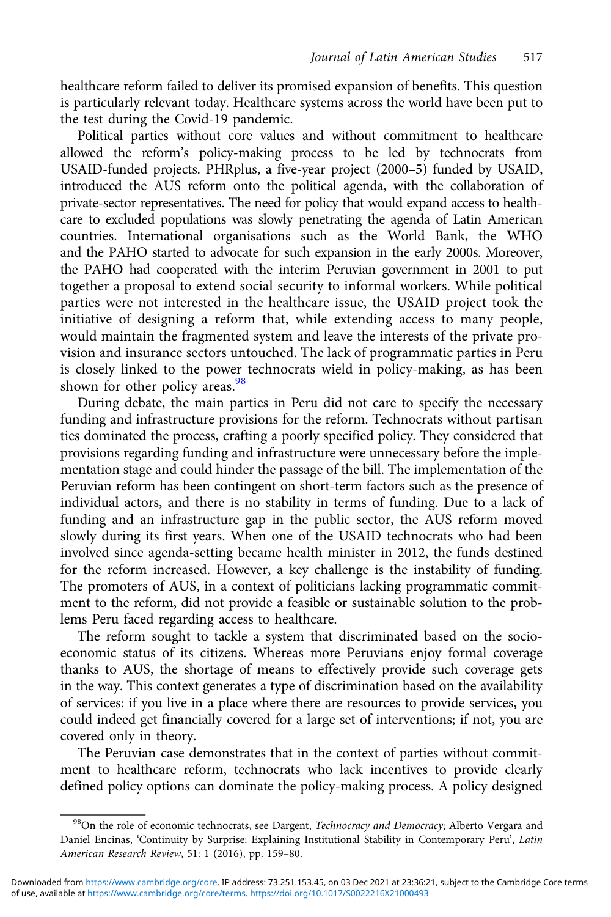healthcare reform failed to deliver its promised expansion of benefits. This question is particularly relevant today. Healthcare systems across the world have been put to the test during the Covid-19 pandemic.

Political parties without core values and without commitment to healthcare allowed the reform's policy-making process to be led by technocrats from USAID-funded projects. PHRplus, a five-year project (2000–5) funded by USAID, introduced the AUS reform onto the political agenda, with the collaboration of private-sector representatives. The need for policy that would expand access to healthcare to excluded populations was slowly penetrating the agenda of Latin American countries. International organisations such as the World Bank, the WHO and the PAHO started to advocate for such expansion in the early 2000s. Moreover, the PAHO had cooperated with the interim Peruvian government in 2001 to put together a proposal to extend social security to informal workers. While political parties were not interested in the healthcare issue, the USAID project took the initiative of designing a reform that, while extending access to many people, would maintain the fragmented system and leave the interests of the private provision and insurance sectors untouched. The lack of programmatic parties in Peru is closely linked to the power technocrats wield in policy-making, as has been shown for other policy areas.<sup>98</sup>

During debate, the main parties in Peru did not care to specify the necessary funding and infrastructure provisions for the reform. Technocrats without partisan ties dominated the process, crafting a poorly specified policy. They considered that provisions regarding funding and infrastructure were unnecessary before the implementation stage and could hinder the passage of the bill. The implementation of the Peruvian reform has been contingent on short-term factors such as the presence of individual actors, and there is no stability in terms of funding. Due to a lack of funding and an infrastructure gap in the public sector, the AUS reform moved slowly during its first years. When one of the USAID technocrats who had been involved since agenda-setting became health minister in 2012, the funds destined for the reform increased. However, a key challenge is the instability of funding. The promoters of AUS, in a context of politicians lacking programmatic commitment to the reform, did not provide a feasible or sustainable solution to the problems Peru faced regarding access to healthcare.

The reform sought to tackle a system that discriminated based on the socioeconomic status of its citizens. Whereas more Peruvians enjoy formal coverage thanks to AUS, the shortage of means to effectively provide such coverage gets in the way. This context generates a type of discrimination based on the availability of services: if you live in a place where there are resources to provide services, you could indeed get financially covered for a large set of interventions; if not, you are covered only in theory.

The Peruvian case demonstrates that in the context of parties without commitment to healthcare reform, technocrats who lack incentives to provide clearly defined policy options can dominate the policy-making process. A policy designed

<sup>&</sup>lt;sup>98</sup>On the role of economic technocrats, see Dargent, Technocracy and Democracy; Alberto Vergara and Daniel Encinas, 'Continuity by Surprise: Explaining Institutional Stability in Contemporary Peru', Latin American Research Review, 51: 1 (2016), pp. 159–80.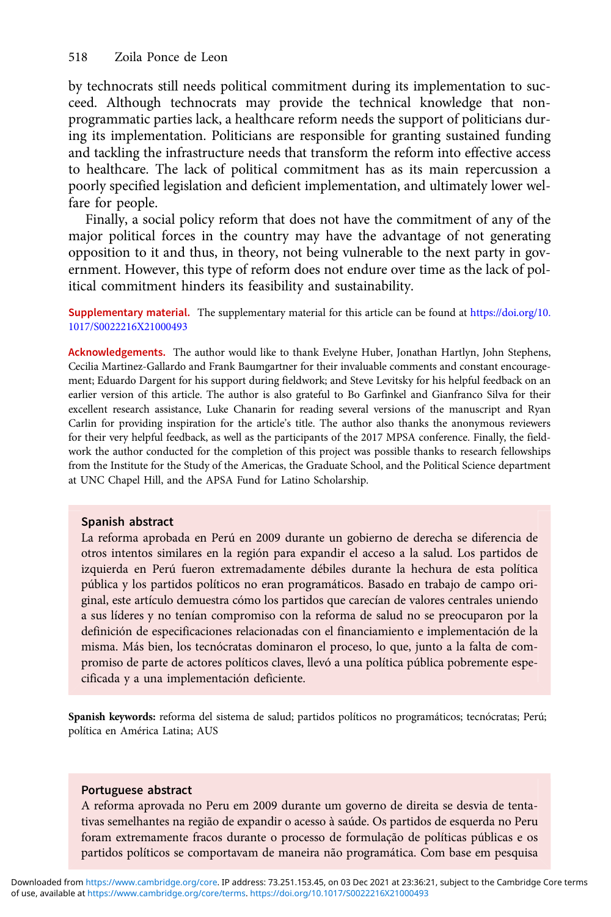by technocrats still needs political commitment during its implementation to succeed. Although technocrats may provide the technical knowledge that nonprogrammatic parties lack, a healthcare reform needs the support of politicians during its implementation. Politicians are responsible for granting sustained funding and tackling the infrastructure needs that transform the reform into effective access to healthcare. The lack of political commitment has as its main repercussion a poorly specified legislation and deficient implementation, and ultimately lower welfare for people.

Finally, a social policy reform that does not have the commitment of any of the major political forces in the country may have the advantage of not generating opposition to it and thus, in theory, not being vulnerable to the next party in government. However, this type of reform does not endure over time as the lack of political commitment hinders its feasibility and sustainability.

Supplementary material. The supplementary material for this article can be found at [https://doi.org/10.](https://doi.org/10.1017/S0022216X21000493) [1017/S0022216X21000493](https://doi.org/10.1017/S0022216X21000493)

Acknowledgements. The author would like to thank Evelyne Huber, Jonathan Hartlyn, John Stephens, Cecilia Martinez-Gallardo and Frank Baumgartner for their invaluable comments and constant encouragement; Eduardo Dargent for his support during fieldwork; and Steve Levitsky for his helpful feedback on an earlier version of this article. The author is also grateful to Bo Garfinkel and Gianfranco Silva for their excellent research assistance, Luke Chanarin for reading several versions of the manuscript and Ryan Carlin for providing inspiration for the article's title. The author also thanks the anonymous reviewers for their very helpful feedback, as well as the participants of the 2017 MPSA conference. Finally, the fieldwork the author conducted for the completion of this project was possible thanks to research fellowships from the Institute for the Study of the Americas, the Graduate School, and the Political Science department at UNC Chapel Hill, and the APSA Fund for Latino Scholarship.

#### Spanish abstract

La reforma aprobada en Perú en 2009 durante un gobierno de derecha se diferencia de otros intentos similares en la región para expandir el acceso a la salud. Los partidos de izquierda en Perú fueron extremadamente débiles durante la hechura de esta política pública y los partidos políticos no eran programáticos. Basado en trabajo de campo original, este artículo demuestra cómo los partidos que carecían de valores centrales uniendo a sus líderes y no tenían compromiso con la reforma de salud no se preocuparon por la definición de especificaciones relacionadas con el financiamiento e implementación de la misma. Más bien, los tecnócratas dominaron el proceso, lo que, junto a la falta de compromiso de parte de actores políticos claves, llevó a una política pública pobremente especificada y a una implementación deficiente.

Spanish keywords: reforma del sistema de salud; partidos políticos no programáticos; tecnócratas; Perú; política en América Latina; AUS

#### Portuguese abstract

A reforma aprovada no Peru em 2009 durante um governo de direita se desvia de tentativas semelhantes na região de expandir o acesso à saúde. Os partidos de esquerda no Peru foram extremamente fracos durante o processo de formulação de políticas públicas e os partidos políticos se comportavam de maneira não programática. Com base em pesquisa